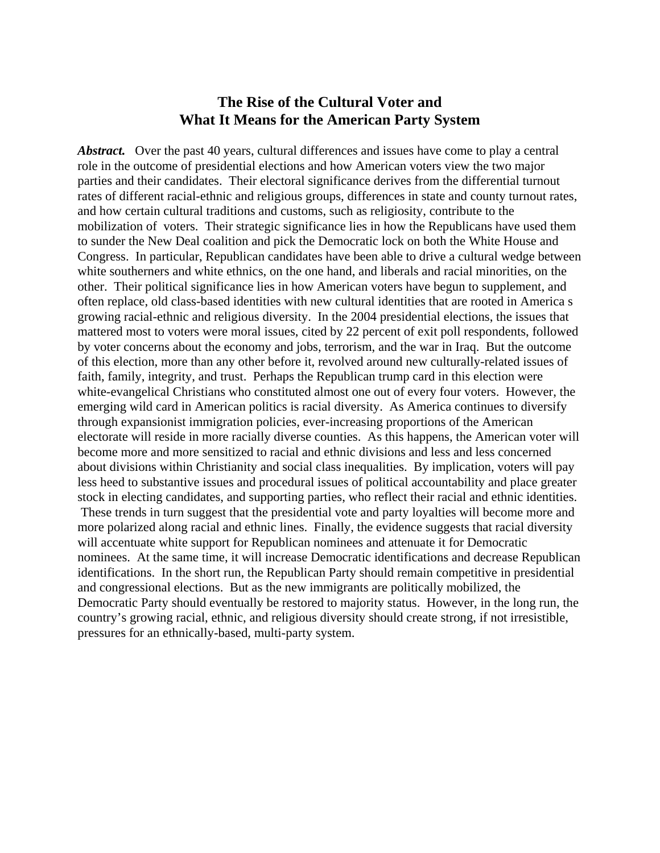# **The Rise of the Cultural Voter and What It Means for the American Party System**

Abstract. Over the past 40 years, cultural differences and issues have come to play a central role in the outcome of presidential elections and how American voters view the two major parties and their candidates. Their electoral significance derives from the differential turnout rates of different racial-ethnic and religious groups, differences in state and county turnout rates, and how certain cultural traditions and customs, such as religiosity, contribute to the mobilization of voters. Their strategic significance lies in how the Republicans have used them to sunder the New Deal coalition and pick the Democratic lock on both the White House and Congress. In particular, Republican candidates have been able to drive a cultural wedge between white southerners and white ethnics, on the one hand, and liberals and racial minorities, on the other. Their political significance lies in how American voters have begun to supplement, and often replace, old class-based identities with new cultural identities that are rooted in America s growing racial-ethnic and religious diversity. In the 2004 presidential elections, the issues that mattered most to voters were moral issues, cited by 22 percent of exit poll respondents, followed by voter concerns about the economy and jobs, terrorism, and the war in Iraq. But the outcome of this election, more than any other before it, revolved around new culturally-related issues of faith, family, integrity, and trust. Perhaps the Republican trump card in this election were white-evangelical Christians who constituted almost one out of every four voters. However, the emerging wild card in American politics is racial diversity. As America continues to diversify through expansionist immigration policies, ever-increasing proportions of the American electorate will reside in more racially diverse counties. As this happens, the American voter will become more and more sensitized to racial and ethnic divisions and less and less concerned about divisions within Christianity and social class inequalities. By implication, voters will pay less heed to substantive issues and procedural issues of political accountability and place greater stock in electing candidates, and supporting parties, who reflect their racial and ethnic identities. These trends in turn suggest that the presidential vote and party loyalties will become more and more polarized along racial and ethnic lines. Finally, the evidence suggests that racial diversity will accentuate white support for Republican nominees and attenuate it for Democratic nominees. At the same time, it will increase Democratic identifications and decrease Republican identifications. In the short run, the Republican Party should remain competitive in presidential and congressional elections. But as the new immigrants are politically mobilized, the Democratic Party should eventually be restored to majority status. However, in the long run, the country's growing racial, ethnic, and religious diversity should create strong, if not irresistible, pressures for an ethnically-based, multi-party system.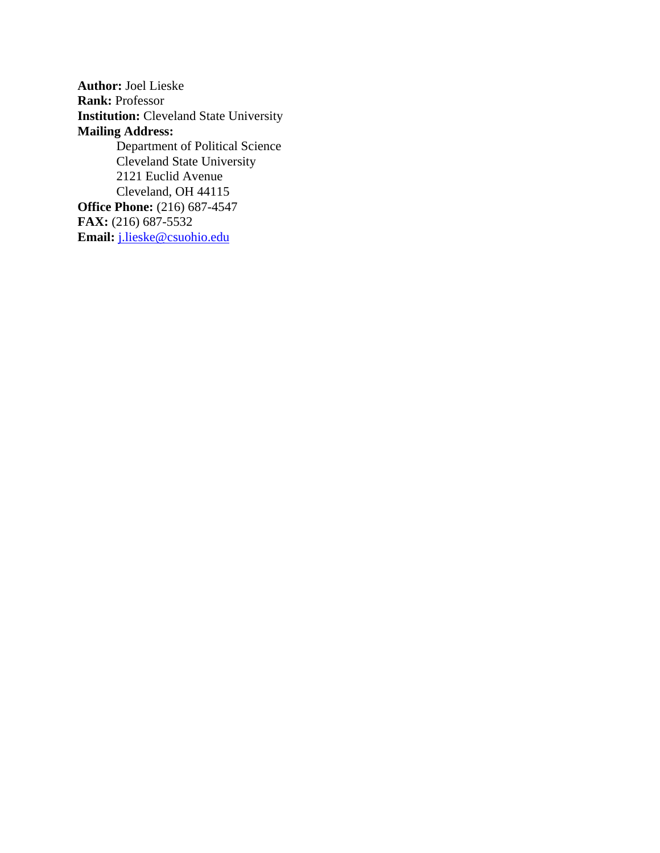**Author:** Joel Lieske **Rank:** Professor **Institution:** Cleveland State University **Mailing Address:**  Department of Political Science Cleveland State University 2121 Euclid Avenue Cleveland, OH 44115 **Office Phone:** (216) 687-4547 **FAX:** (216) 687-5532 **Email:** j.lieske@csuohio.edu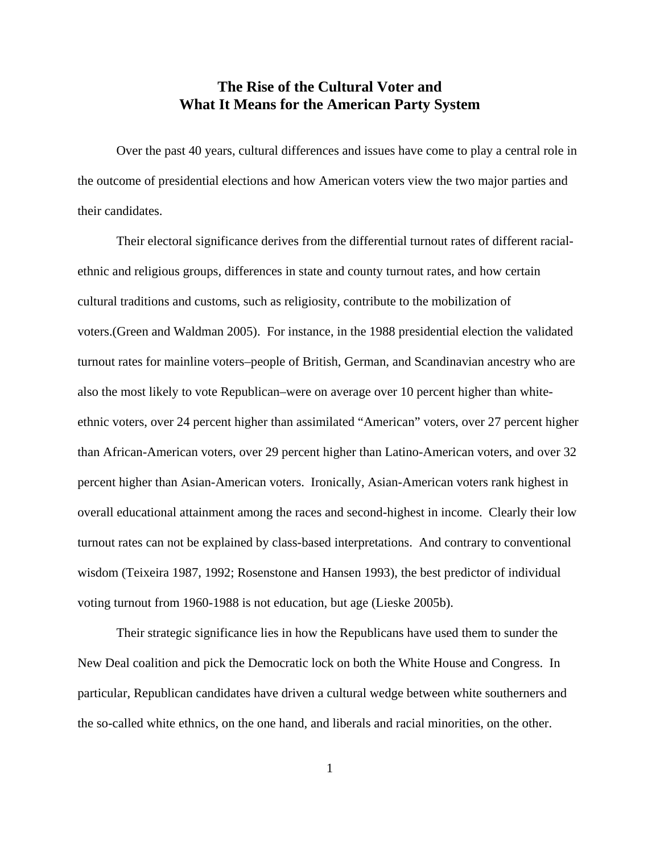# **The Rise of the Cultural Voter and What It Means for the American Party System**

Over the past 40 years, cultural differences and issues have come to play a central role in the outcome of presidential elections and how American voters view the two major parties and their candidates.

Their electoral significance derives from the differential turnout rates of different racialethnic and religious groups, differences in state and county turnout rates, and how certain cultural traditions and customs, such as religiosity, contribute to the mobilization of voters.(Green and Waldman 2005). For instance, in the 1988 presidential election the validated turnout rates for mainline voters–people of British, German, and Scandinavian ancestry who are also the most likely to vote Republican–were on average over 10 percent higher than whiteethnic voters, over 24 percent higher than assimilated "American" voters, over 27 percent higher than African-American voters, over 29 percent higher than Latino-American voters, and over 32 percent higher than Asian-American voters. Ironically, Asian-American voters rank highest in overall educational attainment among the races and second-highest in income. Clearly their low turnout rates can not be explained by class-based interpretations. And contrary to conventional wisdom (Teixeira 1987, 1992; Rosenstone and Hansen 1993), the best predictor of individual voting turnout from 1960-1988 is not education, but age (Lieske 2005b).

Their strategic significance lies in how the Republicans have used them to sunder the New Deal coalition and pick the Democratic lock on both the White House and Congress. In particular, Republican candidates have driven a cultural wedge between white southerners and the so-called white ethnics, on the one hand, and liberals and racial minorities, on the other.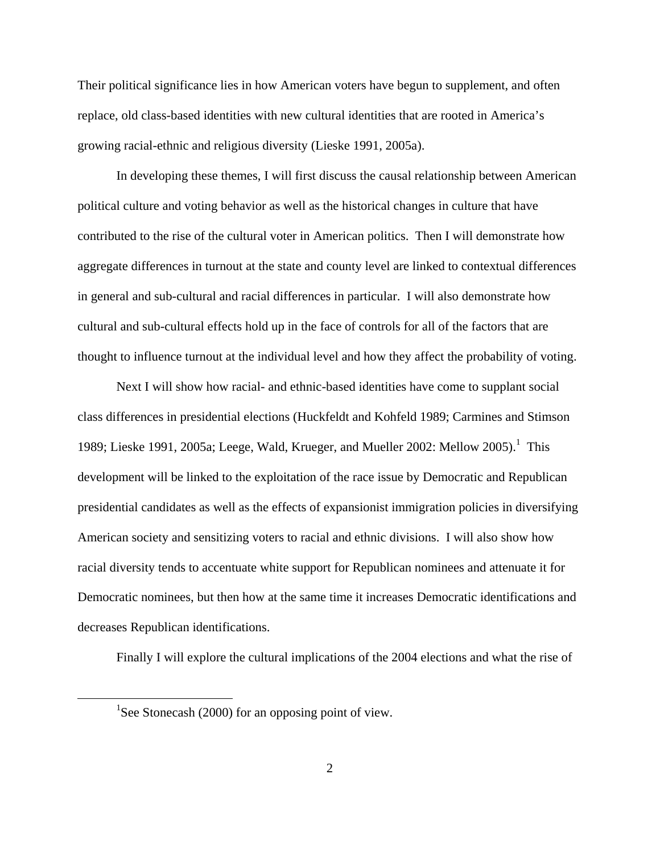Their political significance lies in how American voters have begun to supplement, and often replace, old class-based identities with new cultural identities that are rooted in America's growing racial-ethnic and religious diversity (Lieske 1991, 2005a).

In developing these themes, I will first discuss the causal relationship between American political culture and voting behavior as well as the historical changes in culture that have contributed to the rise of the cultural voter in American politics. Then I will demonstrate how aggregate differences in turnout at the state and county level are linked to contextual differences in general and sub-cultural and racial differences in particular. I will also demonstrate how cultural and sub-cultural effects hold up in the face of controls for all of the factors that are thought to influence turnout at the individual level and how they affect the probability of voting.

Next I will show how racial- and ethnic-based identities have come to supplant social class differences in presidential elections (Huckfeldt and Kohfeld 1989; Carmines and Stimson 1989; Lieske 1991, 2005a; Leege, Wald, Krueger, and Mueller 2002: Mellow 2005).<sup>1</sup> This development will be linked to the exploitation of the race issue by Democratic and Republican presidential candidates as well as the effects of expansionist immigration policies in diversifying American society and sensitizing voters to racial and ethnic divisions. I will also show how racial diversity tends to accentuate white support for Republican nominees and attenuate it for Democratic nominees, but then how at the same time it increases Democratic identifications and decreases Republican identifications.

Finally I will explore the cultural implications of the 2004 elections and what the rise of

 $\frac{1}{1}$ <sup>1</sup>See Stonecash (2000) for an opposing point of view.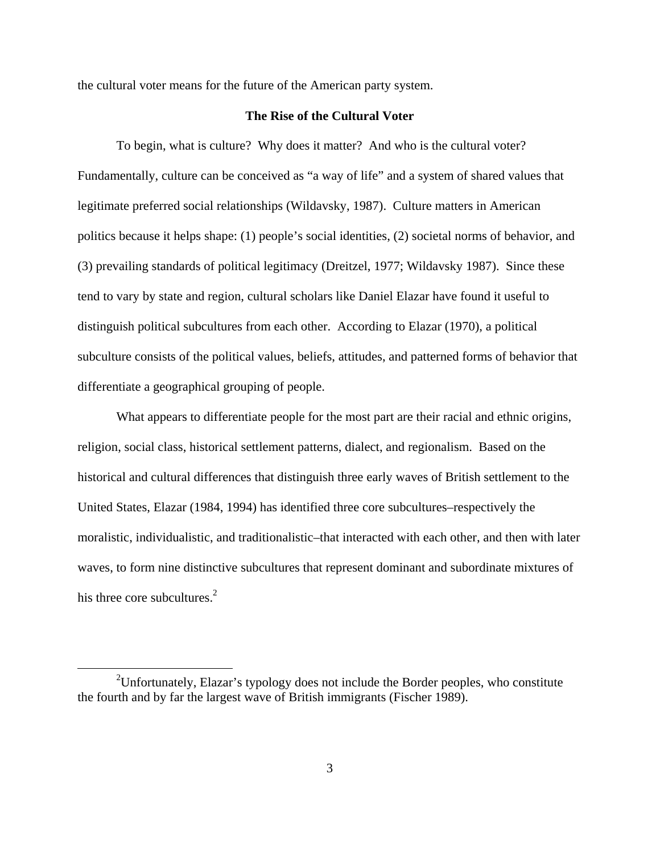the cultural voter means for the future of the American party system.

# **The Rise of the Cultural Voter**

To begin, what is culture? Why does it matter? And who is the cultural voter? Fundamentally, culture can be conceived as "a way of life" and a system of shared values that legitimate preferred social relationships (Wildavsky, 1987). Culture matters in American politics because it helps shape: (1) people's social identities, (2) societal norms of behavior, and (3) prevailing standards of political legitimacy (Dreitzel, 1977; Wildavsky 1987). Since these tend to vary by state and region, cultural scholars like Daniel Elazar have found it useful to distinguish political subcultures from each other. According to Elazar (1970), a political subculture consists of the political values, beliefs, attitudes, and patterned forms of behavior that differentiate a geographical grouping of people.

What appears to differentiate people for the most part are their racial and ethnic origins, religion, social class, historical settlement patterns, dialect, and regionalism. Based on the historical and cultural differences that distinguish three early waves of British settlement to the United States, Elazar (1984, 1994) has identified three core subcultures–respectively the moralistic, individualistic, and traditionalistic–that interacted with each other, and then with later waves, to form nine distinctive subcultures that represent dominant and subordinate mixtures of his three core subcultures. $2$ 

 <sup>2</sup> <sup>2</sup>Unfortunately, Elazar's typology does not include the Border peoples, who constitute the fourth and by far the largest wave of British immigrants (Fischer 1989).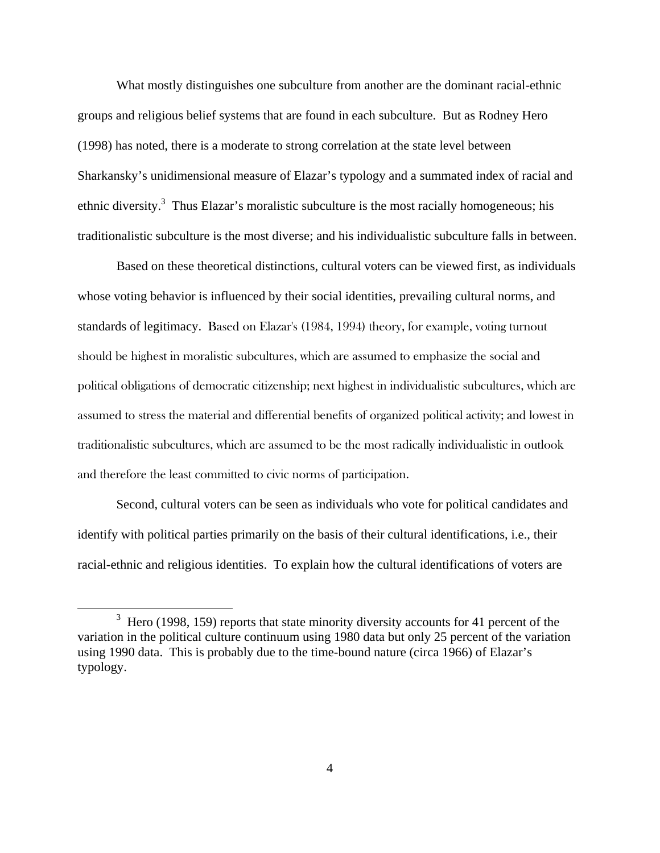What mostly distinguishes one subculture from another are the dominant racial-ethnic groups and religious belief systems that are found in each subculture. But as Rodney Hero (1998) has noted, there is a moderate to strong correlation at the state level between Sharkansky's unidimensional measure of Elazar's typology and a summated index of racial and ethnic diversity.<sup>3</sup> Thus Elazar's moralistic subculture is the most racially homogeneous; his traditionalistic subculture is the most diverse; and his individualistic subculture falls in between.

Based on these theoretical distinctions, cultural voters can be viewed first, as individuals whose voting behavior is influenced by their social identities, prevailing cultural norms, and standards of legitimacy. Based on Elazar's (1984, 1994) theory, for example, voting turnout should be highest in moralistic subcultures, which are assumed to emphasize the social and political obligations of democratic citizenship; next highest in individualistic subcultures, which are assumed to stress the material and differential benefits of organized political activity; and lowest in traditionalistic subcultures, which are assumed to be the most radically individualistic in outlook and therefore the least committed to civic norms of participation.

Second, cultural voters can be seen as individuals who vote for political candidates and identify with political parties primarily on the basis of their cultural identifications, i.e., their racial-ethnic and religious identities. To explain how the cultural identifications of voters are

 $\frac{1}{3}$  $3$  Hero (1998, 159) reports that state minority diversity accounts for 41 percent of the variation in the political culture continuum using 1980 data but only 25 percent of the variation using 1990 data. This is probably due to the time-bound nature (circa 1966) of Elazar's typology.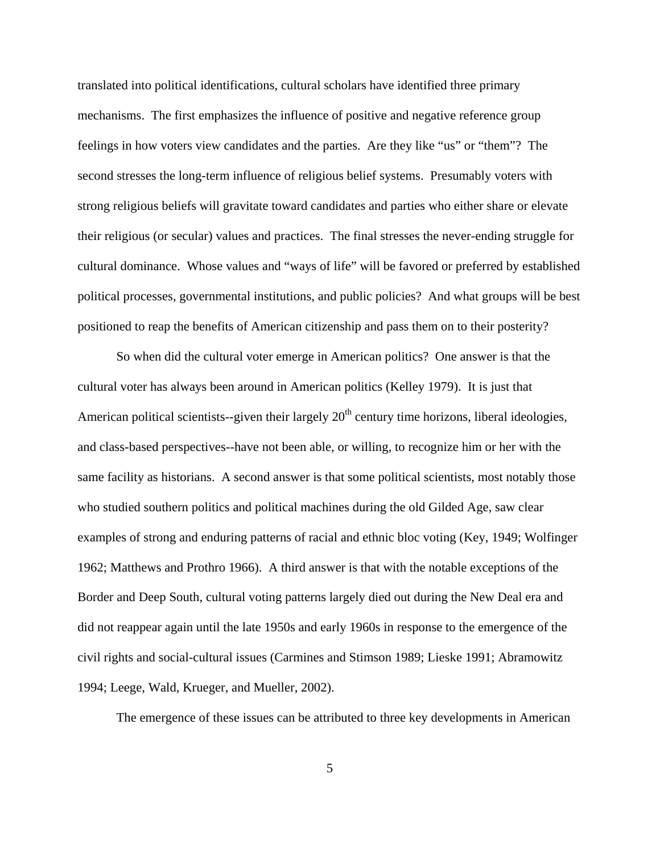translated into political identifications, cultural scholars have identified three primary mechanisms. The first emphasizes the influence of positive and negative reference group feelings in how voters view candidates and the parties. Are they like "us" or "them"? The second stresses the long-term influence of religious belief systems. Presumably voters with strong religious beliefs will gravitate toward candidates and parties who either share or elevate their religious (or secular) values and practices. The final stresses the never-ending struggle for cultural dominance. Whose values and "ways of life" will be favored or preferred by established political processes, governmental institutions, and public policies? And what groups will be best positioned to reap the benefits of American citizenship and pass them on to their posterity?

So when did the cultural voter emerge in American politics? One answer is that the cultural voter has always been around in American politics (Kelley 1979). It is just that American political scientists--given their largely  $20<sup>th</sup>$  century time horizons, liberal ideologies, and class-based perspectives--have not been able, or willing, to recognize him or her with the same facility as historians. A second answer is that some political scientists, most notably those who studied southern politics and political machines during the old Gilded Age, saw clear examples of strong and enduring patterns of racial and ethnic bloc voting (Key, 1949; Wolfinger 1962; Matthews and Prothro 1966). A third answer is that with the notable exceptions of the Border and Deep South, cultural voting patterns largely died out during the New Deal era and did not reappear again until the late 1950s and early 1960s in response to the emergence of the civil rights and social-cultural issues (Carmines and Stimson 1989; Lieske 1991; Abramowitz 1994; Leege, Wald, Krueger, and Mueller, 2002).

The emergence of these issues can be attributed to three key developments in American

5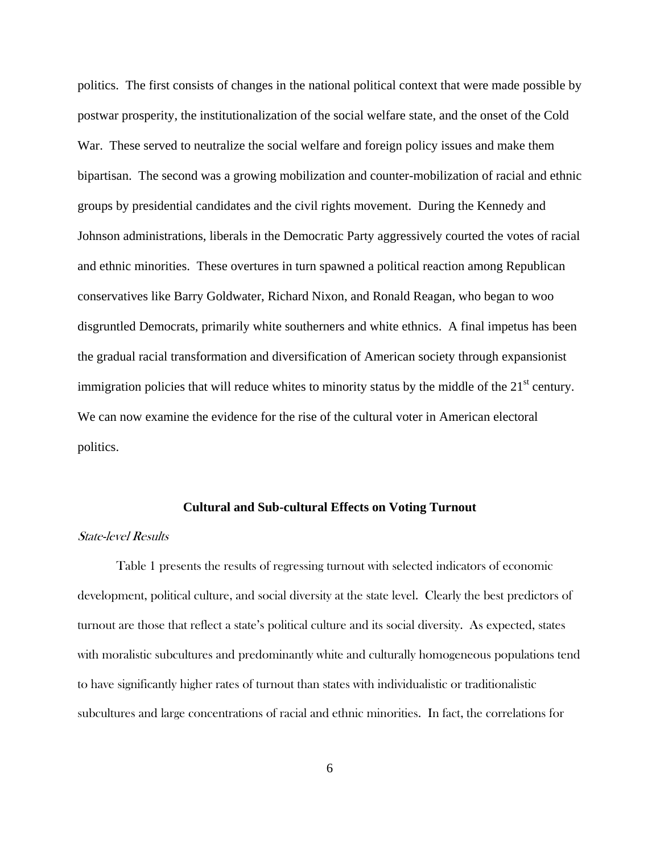politics. The first consists of changes in the national political context that were made possible by postwar prosperity, the institutionalization of the social welfare state, and the onset of the Cold War. These served to neutralize the social welfare and foreign policy issues and make them bipartisan. The second was a growing mobilization and counter-mobilization of racial and ethnic groups by presidential candidates and the civil rights movement. During the Kennedy and Johnson administrations, liberals in the Democratic Party aggressively courted the votes of racial and ethnic minorities. These overtures in turn spawned a political reaction among Republican conservatives like Barry Goldwater, Richard Nixon, and Ronald Reagan, who began to woo disgruntled Democrats, primarily white southerners and white ethnics. A final impetus has been the gradual racial transformation and diversification of American society through expansionist immigration policies that will reduce whites to minority status by the middle of the  $21<sup>st</sup>$  century. We can now examine the evidence for the rise of the cultural voter in American electoral politics.

#### **Cultural and Sub-cultural Effects on Voting Turnout**

### State-level Results

Table 1 presents the results of regressing turnout with selected indicators of economic development, political culture, and social diversity at the state level. Clearly the best predictors of turnout are those that reflect a state's political culture and its social diversity. As expected, states with moralistic subcultures and predominantly white and culturally homogeneous populations tend to have significantly higher rates of turnout than states with individualistic or traditionalistic subcultures and large concentrations of racial and ethnic minorities. In fact, the correlations for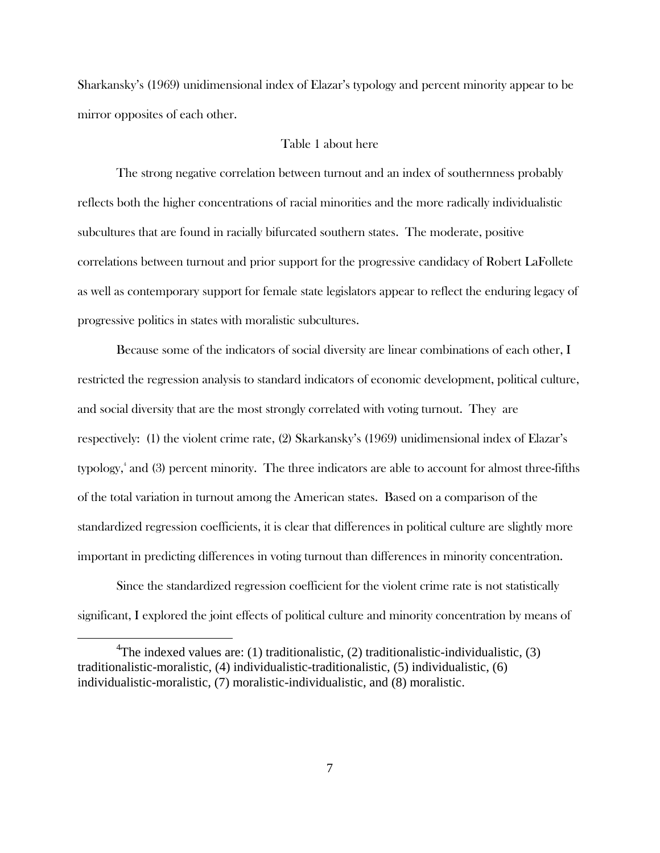Sharkansky's (1969) unidimensional index of Elazar's typology and percent minority appear to be mirror opposites of each other.

## Table 1 about here

The strong negative correlation between turnout and an index of southernness probably reflects both the higher concentrations of racial minorities and the more radically individualistic subcultures that are found in racially bifurcated southern states. The moderate, positive correlations between turnout and prior support for the progressive candidacy of Robert LaFollete as well as contemporary support for female state legislators appear to reflect the enduring legacy of progressive politics in states with moralistic subcultures.

Because some of the indicators of social diversity are linear combinations of each other, I restricted the regression analysis to standard indicators of economic development, political culture, and social diversity that are the most strongly correlated with voting turnout. They are respectively: (1) the violent crime rate, (2) Skarkansky's (1969) unidimensional index of Elazar's typology,<sup>4</sup> and (3) percent minority. The three indicators are able to account for almost three-fifths of the total variation in turnout among the American states. Based on a comparison of the standardized regression coefficients, it is clear that differences in political culture are slightly more important in predicting differences in voting turnout than differences in minority concentration.

Since the standardized regression coefficient for the violent crime rate is not statistically significant, I explored the joint effects of political culture and minority concentration by means of

 $\frac{1}{4}$ <sup>4</sup>The indexed values are: (1) traditionalistic, (2) traditionalistic-individualistic, (3) traditionalistic-moralistic, (4) individualistic-traditionalistic, (5) individualistic, (6) individualistic-moralistic, (7) moralistic-individualistic, and (8) moralistic.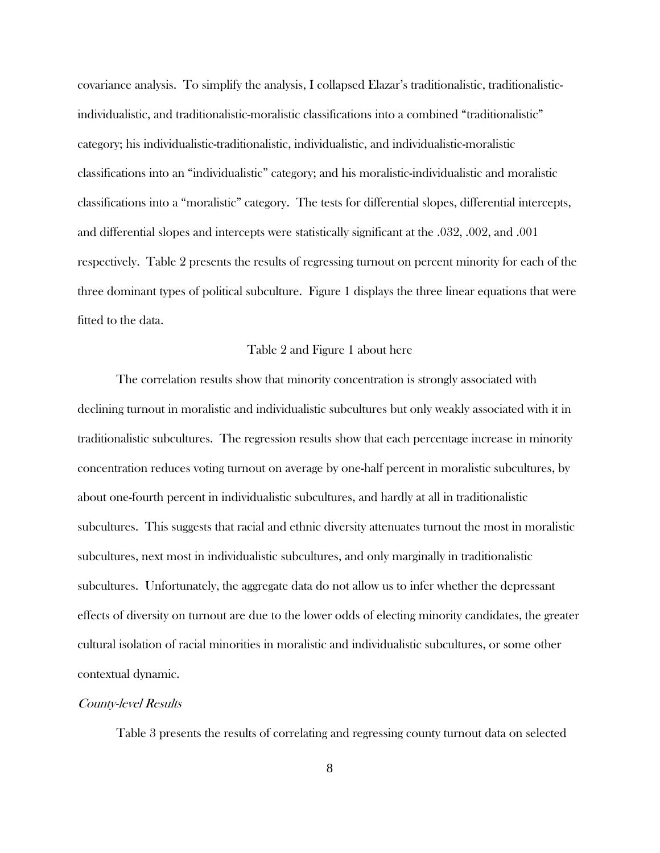covariance analysis. To simplify the analysis, I collapsed Elazar's traditionalistic, traditionalisticindividualistic, and traditionalistic-moralistic classifications into a combined "traditionalistic" category; his individualistic-traditionalistic, individualistic, and individualistic-moralistic classifications into an "individualistic" category; and his moralistic-individualistic and moralistic classifications into a "moralistic" category. The tests for differential slopes, differential intercepts, and differential slopes and intercepts were statistically significant at the .032, .002, and .001 respectively. Table 2 presents the results of regressing turnout on percent minority for each of the three dominant types of political subculture. Figure 1 displays the three linear equations that were fitted to the data.

#### Table 2 and Figure 1 about here

The correlation results show that minority concentration is strongly associated with declining turnout in moralistic and individualistic subcultures but only weakly associated with it in traditionalistic subcultures. The regression results show that each percentage increase in minority concentration reduces voting turnout on average by one-half percent in moralistic subcultures, by about one-fourth percent in individualistic subcultures, and hardly at all in traditionalistic subcultures. This suggests that racial and ethnic diversity attenuates turnout the most in moralistic subcultures, next most in individualistic subcultures, and only marginally in traditionalistic subcultures. Unfortunately, the aggregate data do not allow us to infer whether the depressant effects of diversity on turnout are due to the lower odds of electing minority candidates, the greater cultural isolation of racial minorities in moralistic and individualistic subcultures, or some other contextual dynamic.

#### County-level Results

Table 3 presents the results of correlating and regressing county turnout data on selected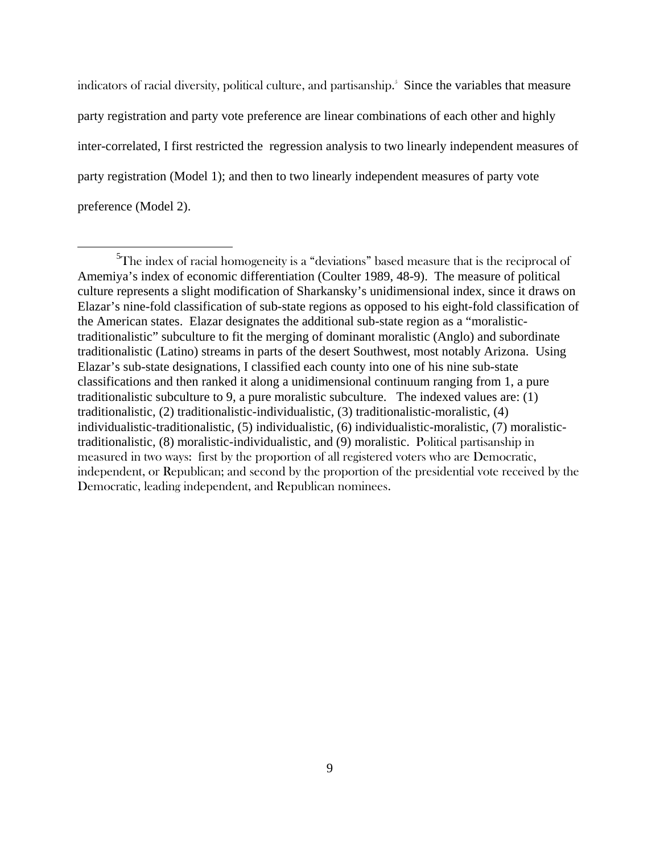indicators of racial diversity, political culture, and partisanship. $\delta$  Since the variables that measure party registration and party vote preference are linear combinations of each other and highly inter-correlated, I first restricted the regression analysis to two linearly independent measures of party registration (Model 1); and then to two linearly independent measures of party vote preference (Model 2).

 $\frac{1}{5}$ The index of racial homogeneity is a "deviations" based measure that is the reciprocal of Amemiya's index of economic differentiation (Coulter 1989, 48-9). The measure of political culture represents a slight modification of Sharkansky's unidimensional index, since it draws on Elazar's nine-fold classification of sub-state regions as opposed to his eight-fold classification of the American states. Elazar designates the additional sub-state region as a "moralistictraditionalistic" subculture to fit the merging of dominant moralistic (Anglo) and subordinate traditionalistic (Latino) streams in parts of the desert Southwest, most notably Arizona. Using Elazar's sub-state designations, I classified each county into one of his nine sub-state classifications and then ranked it along a unidimensional continuum ranging from 1, a pure traditionalistic subculture to 9, a pure moralistic subculture. The indexed values are: (1) traditionalistic, (2) traditionalistic-individualistic, (3) traditionalistic-moralistic, (4) individualistic-traditionalistic, (5) individualistic, (6) individualistic-moralistic, (7) moralistictraditionalistic, (8) moralistic-individualistic, and (9) moralistic. Political partisanship in measured in two ways: first by the proportion of all registered voters who are Democratic, independent, or Republican; and second by the proportion of the presidential vote received by the Democratic, leading independent, and Republican nominees.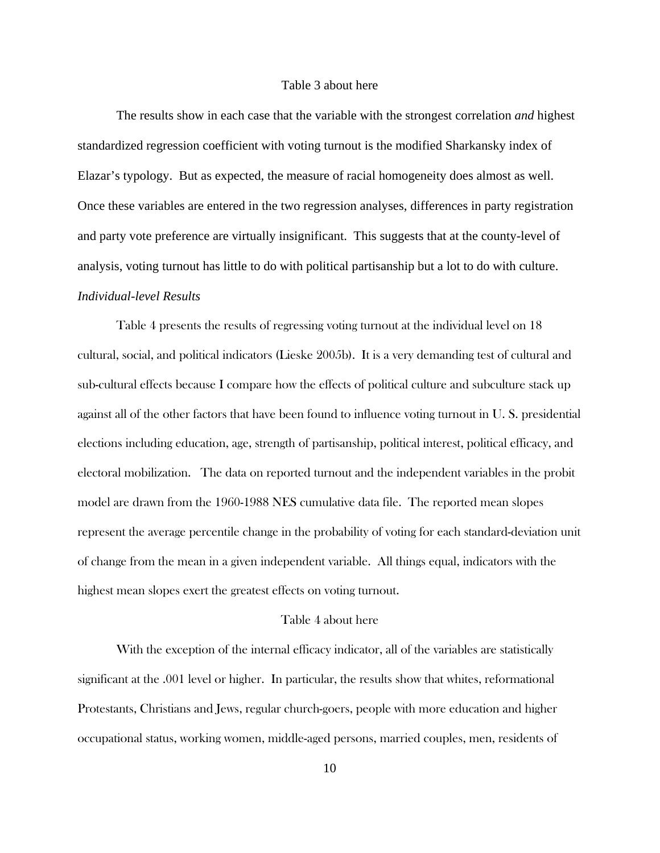#### Table 3 about here

The results show in each case that the variable with the strongest correlation *and* highest standardized regression coefficient with voting turnout is the modified Sharkansky index of Elazar's typology. But as expected, the measure of racial homogeneity does almost as well. Once these variables are entered in the two regression analyses, differences in party registration and party vote preference are virtually insignificant. This suggests that at the county-level of analysis, voting turnout has little to do with political partisanship but a lot to do with culture. *Individual-level Results*

Table 4 presents the results of regressing voting turnout at the individual level on 18 cultural, social, and political indicators (Lieske 2005b). It is a very demanding test of cultural and sub-cultural effects because I compare how the effects of political culture and subculture stack up against all of the other factors that have been found to influence voting turnout in U. S. presidential elections including education, age, strength of partisanship, political interest, political efficacy, and electoral mobilization. The data on reported turnout and the independent variables in the probit model are drawn from the 1960-1988 NES cumulative data file. The reported mean slopes represent the average percentile change in the probability of voting for each standard-deviation unit of change from the mean in a given independent variable. All things equal, indicators with the highest mean slopes exert the greatest effects on voting turnout.

## Table 4 about here

With the exception of the internal efficacy indicator, all of the variables are statistically significant at the .001 level or higher. In particular, the results show that whites, reformational Protestants, Christians and Jews, regular church-goers, people with more education and higher occupational status, working women, middle-aged persons, married couples, men, residents of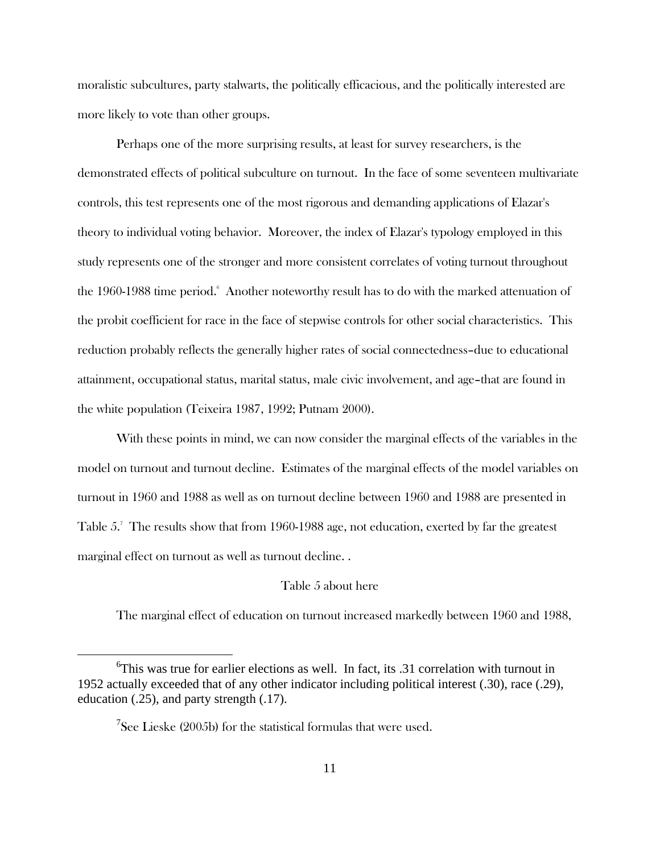moralistic subcultures, party stalwarts, the politically efficacious, and the politically interested are more likely to vote than other groups.

Perhaps one of the more surprising results, at least for survey researchers, is the demonstrated effects of political subculture on turnout. In the face of some seventeen multivariate controls, this test represents one of the most rigorous and demanding applications of Elazar's theory to individual voting behavior. Moreover, the index of Elazar's typology employed in this study represents one of the stronger and more consistent correlates of voting turnout throughout the 1960-1988 time period. Another noteworthy result has to do with the marked attenuation of the probit coefficient for race in the face of stepwise controls for other social characteristics. This reduction probably reflects the generally higher rates of social connectedness–due to educational attainment, occupational status, marital status, male civic involvement, and age–that are found in the white population (Teixeira 1987, 1992; Putnam 2000).

With these points in mind, we can now consider the marginal effects of the variables in the model on turnout and turnout decline. Estimates of the marginal effects of the model variables on turnout in 1960 and 1988 as well as on turnout decline between 1960 and 1988 are presented in Table 5.<sup>7</sup> The results show that from 1960-1988 age, not education, exerted by far the greatest marginal effect on turnout as well as turnout decline. .

## Table 5 about here

The marginal effect of education on turnout increased markedly between 1960 and 1988,

 <sup>6</sup>  ${}^{6}$ This was true for earlier elections as well. In fact, its .31 correlation with turnout in 1952 actually exceeded that of any other indicator including political interest (.30), race (.29), education (.25), and party strength (.17).

 $^7$ See Lieske (2005b) for the statistical formulas that were used.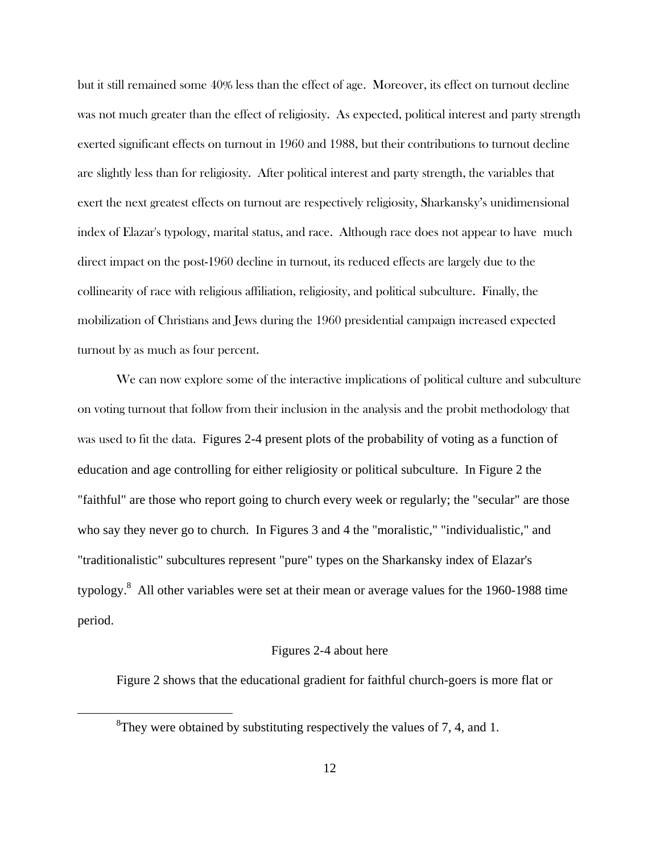but it still remained some 40% less than the effect of age. Moreover, its effect on turnout decline was not much greater than the effect of religiosity. As expected, political interest and party strength exerted significant effects on turnout in 1960 and 1988, but their contributions to turnout decline are slightly less than for religiosity. After political interest and party strength, the variables that exert the next greatest effects on turnout are respectively religiosity, Sharkansky's unidimensional index of Elazar's typology, marital status, and race. Although race does not appear to have much direct impact on the post-1960 decline in turnout, its reduced effects are largely due to the collinearity of race with religious affiliation, religiosity, and political subculture. Finally, the mobilization of Christians and Jews during the 1960 presidential campaign increased expected turnout by as much as four percent.

We can now explore some of the interactive implications of political culture and subculture on voting turnout that follow from their inclusion in the analysis and the probit methodology that was used to fit the data. Figures 2-4 present plots of the probability of voting as a function of education and age controlling for either religiosity or political subculture. In Figure 2 the "faithful" are those who report going to church every week or regularly; the "secular" are those who say they never go to church. In Figures 3 and 4 the "moralistic," "individualistic," and "traditionalistic" subcultures represent "pure" types on the Sharkansky index of Elazar's typology.<sup>8</sup> All other variables were set at their mean or average values for the 1960-1988 time period.

#### Figures 2-4 about here

Figure 2 shows that the educational gradient for faithful church-goers is more flat or

 <sup>8</sup> <sup>8</sup>They were obtained by substituting respectively the values of 7, 4, and 1.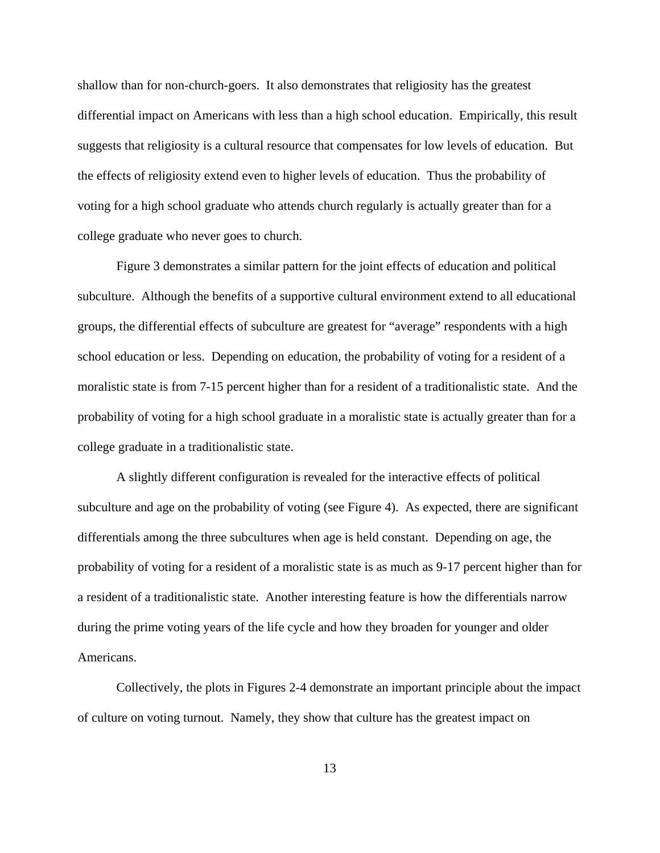shallow than for non-church-goers. It also demonstrates that religiosity has the greatest differential impact on Americans with less than a high school education. Empirically, this result suggests that religiosity is a cultural resource that compensates for low levels of education. But the effects of religiosity extend even to higher levels of education. Thus the probability of voting for a high school graduate who attends church regularly is actually greater than for a college graduate who never goes to church.

Figure 3 demonstrates a similar pattern for the joint effects of education and political subculture. Although the benefits of a supportive cultural environment extend to all educational groups, the differential effects of subculture are greatest for "average" respondents with a high school education or less. Depending on education, the probability of voting for a resident of a moralistic state is from 7-15 percent higher than for a resident of a traditionalistic state. And the probability of voting for a high school graduate in a moralistic state is actually greater than for a college graduate in a traditionalistic state.

A slightly different configuration is revealed for the interactive effects of political subculture and age on the probability of voting (see Figure 4). As expected, there are significant differentials among the three subcultures when age is held constant. Depending on age, the probability of voting for a resident of a moralistic state is as much as 9-17 percent higher than for a resident of a traditionalistic state. Another interesting feature is how the differentials narrow during the prime voting years of the life cycle and how they broaden for younger and older Americans.

Collectively, the plots in Figures 2-4 demonstrate an important principle about the impact of culture on voting turnout. Namely, they show that culture has the greatest impact on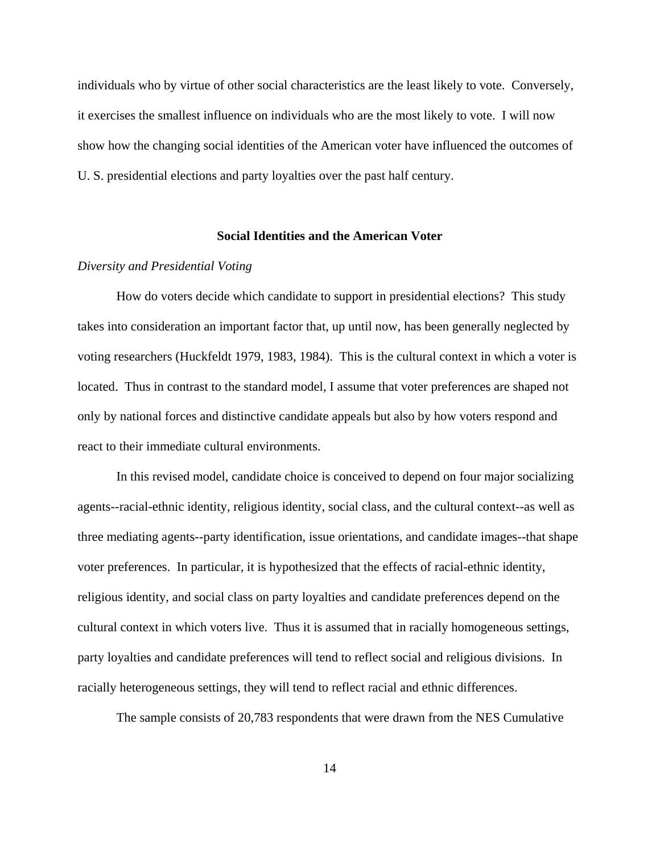individuals who by virtue of other social characteristics are the least likely to vote. Conversely, it exercises the smallest influence on individuals who are the most likely to vote. I will now show how the changing social identities of the American voter have influenced the outcomes of U. S. presidential elections and party loyalties over the past half century.

# **Social Identities and the American Voter**

## *Diversity and Presidential Voting*

How do voters decide which candidate to support in presidential elections?This study takes into consideration an important factor that, up until now, has been generally neglected by voting researchers (Huckfeldt 1979, 1983, 1984). This is the cultural context in which a voter is located. Thus in contrast to the standard model, I assume that voter preferences are shaped not only by national forces and distinctive candidate appeals but also by how voters respond and react to their immediate cultural environments.

In this revised model, candidate choice is conceived to depend on four major socializing agents--racial-ethnic identity, religious identity, social class, and the cultural context--as well as three mediating agents--party identification, issue orientations, and candidate images--that shape voter preferences. In particular, it is hypothesized that the effects of racial-ethnic identity, religious identity, and social class on party loyalties and candidate preferences depend on the cultural context in which voters live. Thus it is assumed that in racially homogeneous settings, party loyalties and candidate preferences will tend to reflect social and religious divisions. In racially heterogeneous settings, they will tend to reflect racial and ethnic differences.

The sample consists of 20,783 respondents that were drawn from the NES Cumulative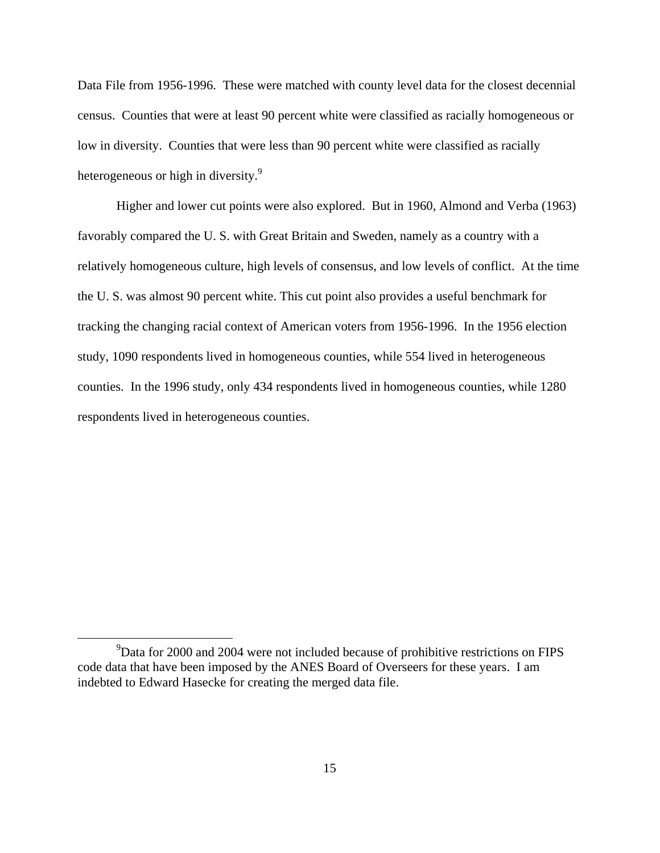Data File from 1956-1996. These were matched with county level data for the closest decennial census. Counties that were at least 90 percent white were classified as racially homogeneous or low in diversity. Counties that were less than 90 percent white were classified as racially heterogeneous or high in diversity.<sup>9</sup>

Higher and lower cut points were also explored. But in 1960, Almond and Verba (1963) favorably compared the U. S. with Great Britain and Sweden, namely as a country with a relatively homogeneous culture, high levels of consensus, and low levels of conflict. At the time the U. S. was almost 90 percent white. This cut point also provides a useful benchmark for tracking the changing racial context of American voters from 1956-1996. In the 1956 election study, 1090 respondents lived in homogeneous counties, while 554 lived in heterogeneous counties. In the 1996 study, only 434 respondents lived in homogeneous counties, while 1280 respondents lived in heterogeneous counties.

 $\frac{1}{9}$  $\rm{PData}$  for 2000 and 2004 were not included because of prohibitive restrictions on FIPS code data that have been imposed by the ANES Board of Overseers for these years. I am indebted to Edward Hasecke for creating the merged data file.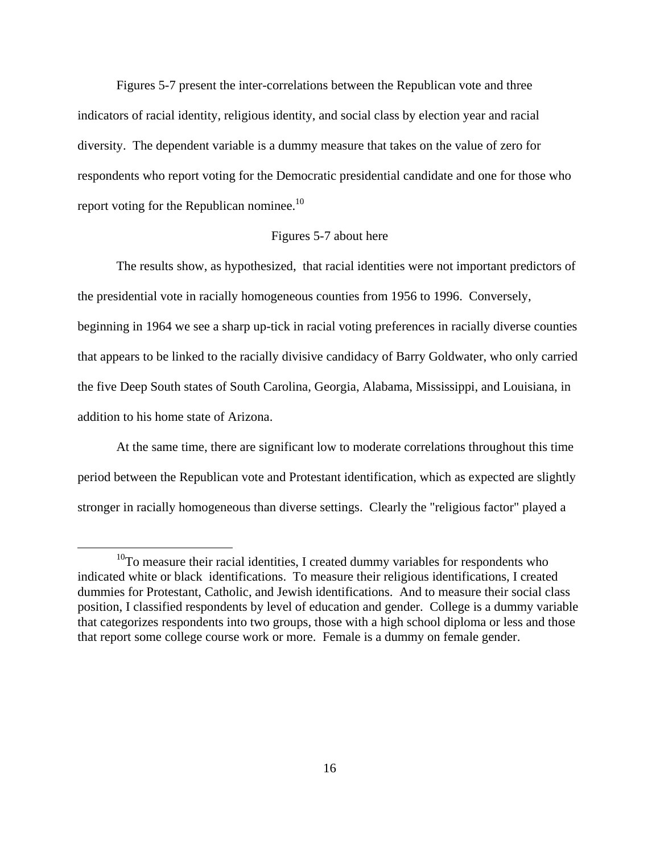Figures 5-7 present the inter-correlations between the Republican vote and three indicators of racial identity, religious identity, and social class by election year and racial diversity. The dependent variable is a dummy measure that takes on the value of zero for respondents who report voting for the Democratic presidential candidate and one for those who report voting for the Republican nominee.<sup>10</sup>

#### Figures 5-7 about here

The results show, as hypothesized, that racial identities were not important predictors of the presidential vote in racially homogeneous counties from 1956 to 1996. Conversely, beginning in 1964 we see a sharp up-tick in racial voting preferences in racially diverse counties that appears to be linked to the racially divisive candidacy of Barry Goldwater, who only carried the five Deep South states of South Carolina, Georgia, Alabama, Mississippi, and Louisiana, in addition to his home state of Arizona.

At the same time, there are significant low to moderate correlations throughout this time period between the Republican vote and Protestant identification, which as expected are slightly stronger in racially homogeneous than diverse settings. Clearly the "religious factor" played a

<sup>&</sup>lt;sup>10</sup>To measure their racial identities, I created dummy variables for respondents who indicated white or black identifications. To measure their religious identifications, I created dummies for Protestant, Catholic, and Jewish identifications. And to measure their social class position, I classified respondents by level of education and gender. College is a dummy variable that categorizes respondents into two groups, those with a high school diploma or less and those that report some college course work or more. Female is a dummy on female gender.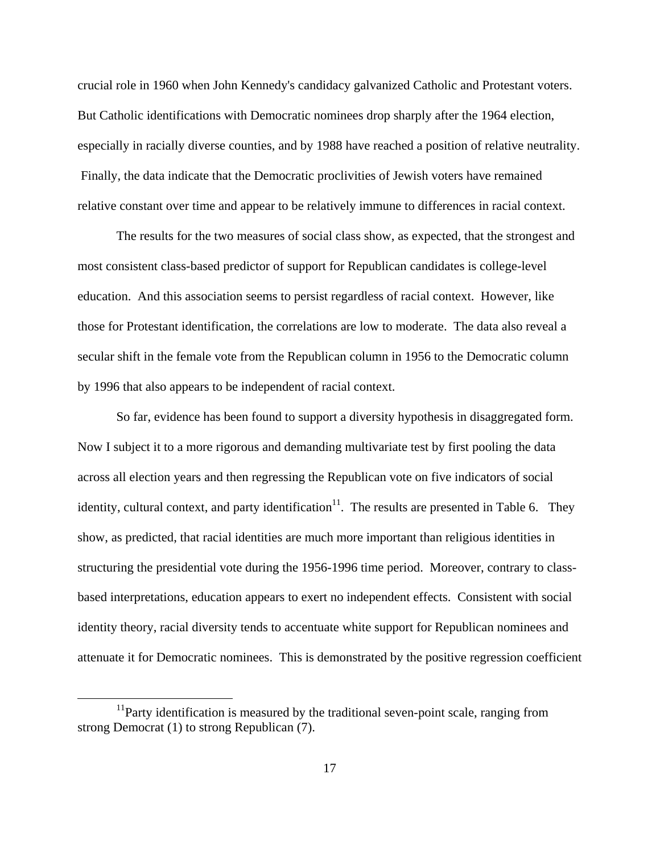crucial role in 1960 when John Kennedy's candidacy galvanized Catholic and Protestant voters. But Catholic identifications with Democratic nominees drop sharply after the 1964 election, especially in racially diverse counties, and by 1988 have reached a position of relative neutrality. Finally, the data indicate that the Democratic proclivities of Jewish voters have remained relative constant over time and appear to be relatively immune to differences in racial context.

The results for the two measures of social class show, as expected, that the strongest and most consistent class-based predictor of support for Republican candidates is college-level education. And this association seems to persist regardless of racial context. However, like those for Protestant identification, the correlations are low to moderate. The data also reveal a secular shift in the female vote from the Republican column in 1956 to the Democratic column by 1996 that also appears to be independent of racial context.

So far, evidence has been found to support a diversity hypothesis in disaggregated form. Now I subject it to a more rigorous and demanding multivariate test by first pooling the data across all election years and then regressing the Republican vote on five indicators of social identity, cultural context, and party identification<sup>11</sup>. The results are presented in Table 6. They show, as predicted, that racial identities are much more important than religious identities in structuring the presidential vote during the 1956-1996 time period. Moreover, contrary to classbased interpretations, education appears to exert no independent effects. Consistent with social identity theory, racial diversity tends to accentuate white support for Republican nominees and attenuate it for Democratic nominees. This is demonstrated by the positive regression coefficient

 $11$ Party identification is measured by the traditional seven-point scale, ranging from strong Democrat (1) to strong Republican (7).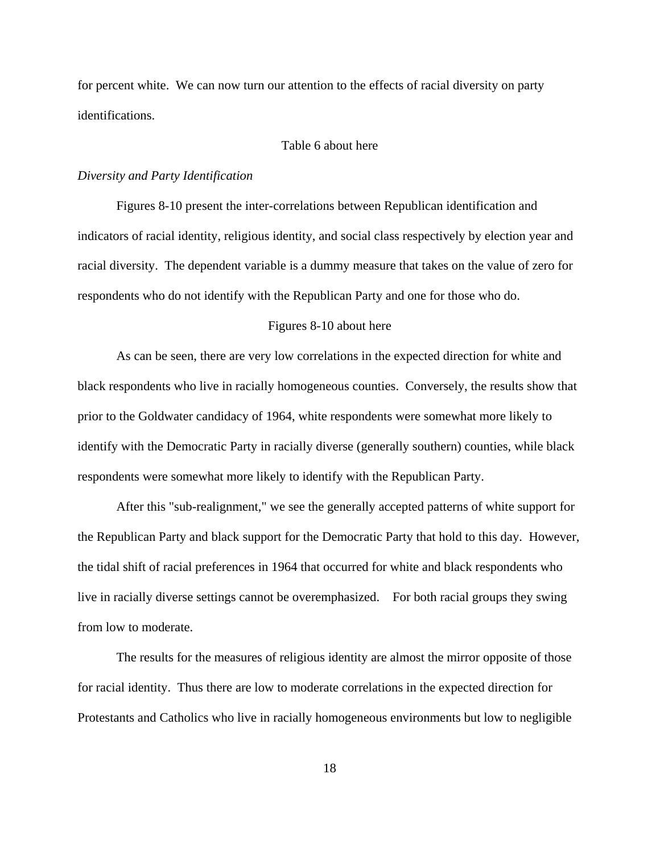for percent white. We can now turn our attention to the effects of racial diversity on party identifications.

#### Table 6 about here

#### *Diversity and Party Identification*

Figures 8-10 present the inter-correlations between Republican identification and indicators of racial identity, religious identity, and social class respectively by election year and racial diversity. The dependent variable is a dummy measure that takes on the value of zero for respondents who do not identify with the Republican Party and one for those who do.

## Figures 8-10 about here

As can be seen, there are very low correlations in the expected direction for white and black respondents who live in racially homogeneous counties. Conversely, the results show that prior to the Goldwater candidacy of 1964, white respondents were somewhat more likely to identify with the Democratic Party in racially diverse (generally southern) counties, while black respondents were somewhat more likely to identify with the Republican Party.

After this "sub-realignment," we see the generally accepted patterns of white support for the Republican Party and black support for the Democratic Party that hold to this day. However, the tidal shift of racial preferences in 1964 that occurred for white and black respondents who live in racially diverse settings cannot be overemphasized. For both racial groups they swing from low to moderate.

The results for the measures of religious identity are almost the mirror opposite of those for racial identity. Thus there are low to moderate correlations in the expected direction for Protestants and Catholics who live in racially homogeneous environments but low to negligible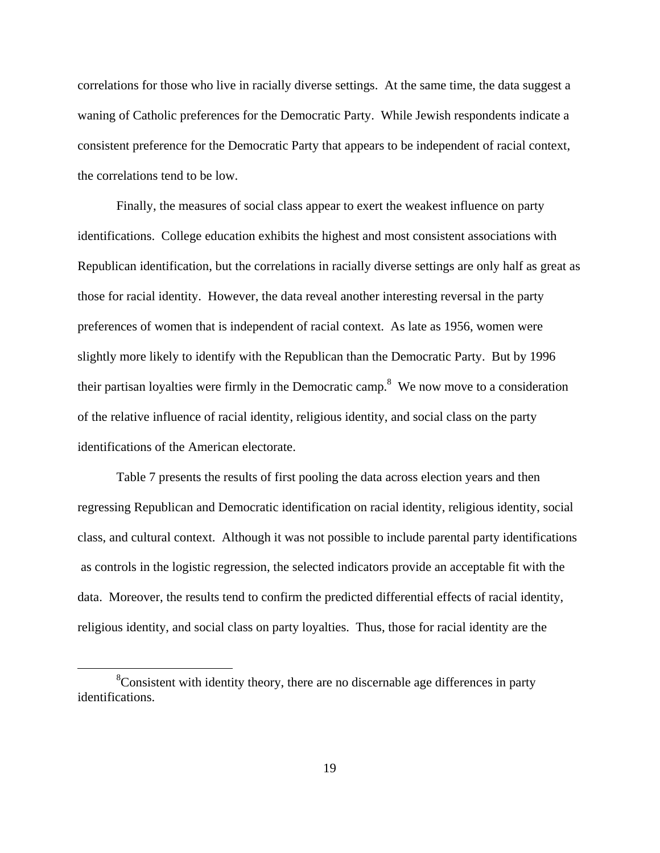correlations for those who live in racially diverse settings. At the same time, the data suggest a waning of Catholic preferences for the Democratic Party. While Jewish respondents indicate a consistent preference for the Democratic Party that appears to be independent of racial context, the correlations tend to be low.

Finally, the measures of social class appear to exert the weakest influence on party identifications. College education exhibits the highest and most consistent associations with Republican identification, but the correlations in racially diverse settings are only half as great as those for racial identity. However, the data reveal another interesting reversal in the party preferences of women that is independent of racial context. As late as 1956, women were slightly more likely to identify with the Republican than the Democratic Party. But by 1996 their partisan loyalties were firmly in the Democratic camp.<sup>8</sup> We now move to a consideration of the relative influence of racial identity, religious identity, and social class on the party identifications of the American electorate.

Table 7 presents the results of first pooling the data across election years and then regressing Republican and Democratic identification on racial identity, religious identity, social class, and cultural context. Although it was not possible to include parental party identifications as controls in the logistic regression, the selected indicators provide an acceptable fit with the data. Moreover, the results tend to confirm the predicted differential effects of racial identity, religious identity, and social class on party loyalties. Thus, those for racial identity are the

 <sup>8</sup>  ${}^{8}$ Consistent with identity theory, there are no discernable age differences in party identifications.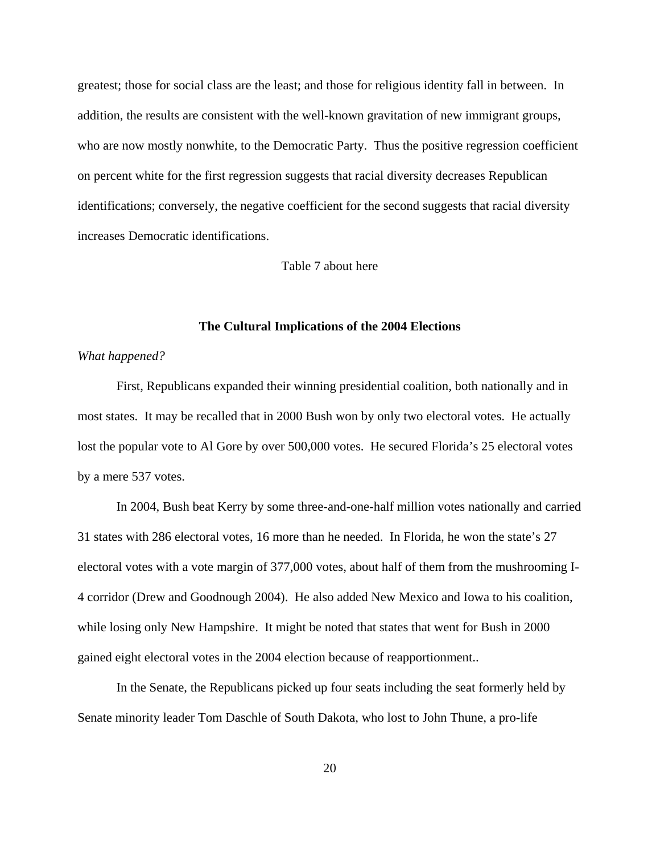greatest; those for social class are the least; and those for religious identity fall in between. In addition, the results are consistent with the well-known gravitation of new immigrant groups, who are now mostly nonwhite, to the Democratic Party. Thus the positive regression coefficient on percent white for the first regression suggests that racial diversity decreases Republican identifications; conversely, the negative coefficient for the second suggests that racial diversity increases Democratic identifications.

# Table 7 about here

## **The Cultural Implications of the 2004 Elections**

# *What happened?*

First, Republicans expanded their winning presidential coalition, both nationally and in most states. It may be recalled that in 2000 Bush won by only two electoral votes. He actually lost the popular vote to Al Gore by over 500,000 votes. He secured Florida's 25 electoral votes by a mere 537 votes.

In 2004, Bush beat Kerry by some three-and-one-half million votes nationally and carried 31 states with 286 electoral votes, 16 more than he needed. In Florida, he won the state's 27 electoral votes with a vote margin of 377,000 votes, about half of them from the mushrooming I-4 corridor (Drew and Goodnough 2004). He also added New Mexico and Iowa to his coalition, while losing only New Hampshire. It might be noted that states that went for Bush in 2000 gained eight electoral votes in the 2004 election because of reapportionment..

In the Senate, the Republicans picked up four seats including the seat formerly held by Senate minority leader Tom Daschle of South Dakota, who lost to John Thune, a pro-life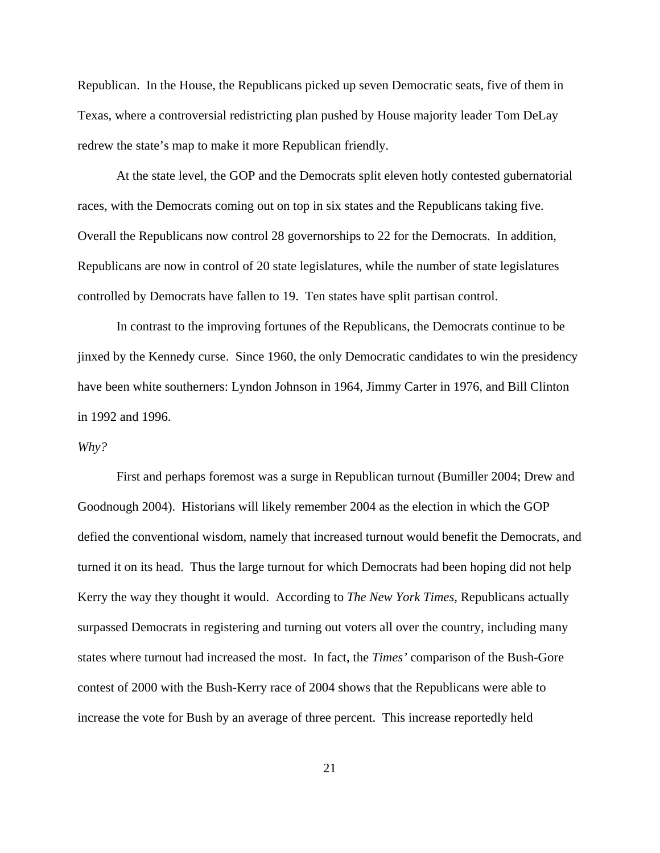Republican. In the House, the Republicans picked up seven Democratic seats, five of them in Texas, where a controversial redistricting plan pushed by House majority leader Tom DeLay redrew the state's map to make it more Republican friendly.

At the state level, the GOP and the Democrats split eleven hotly contested gubernatorial races, with the Democrats coming out on top in six states and the Republicans taking five. Overall the Republicans now control 28 governorships to 22 for the Democrats. In addition, Republicans are now in control of 20 state legislatures, while the number of state legislatures controlled by Democrats have fallen to 19. Ten states have split partisan control.

In contrast to the improving fortunes of the Republicans, the Democrats continue to be jinxed by the Kennedy curse. Since 1960, the only Democratic candidates to win the presidency have been white southerners: Lyndon Johnson in 1964, Jimmy Carter in 1976, and Bill Clinton in 1992 and 1996.

#### *Why?*

First and perhaps foremost was a surge in Republican turnout (Bumiller 2004; Drew and Goodnough 2004). Historians will likely remember 2004 as the election in which the GOP defied the conventional wisdom, namely that increased turnout would benefit the Democrats, and turned it on its head. Thus the large turnout for which Democrats had been hoping did not help Kerry the way they thought it would. According to *The New York Times,* Republicans actually surpassed Democrats in registering and turning out voters all over the country, including many states where turnout had increased the most. In fact, the *Times'* comparison of the Bush-Gore contest of 2000 with the Bush-Kerry race of 2004 shows that the Republicans were able to increase the vote for Bush by an average of three percent. This increase reportedly held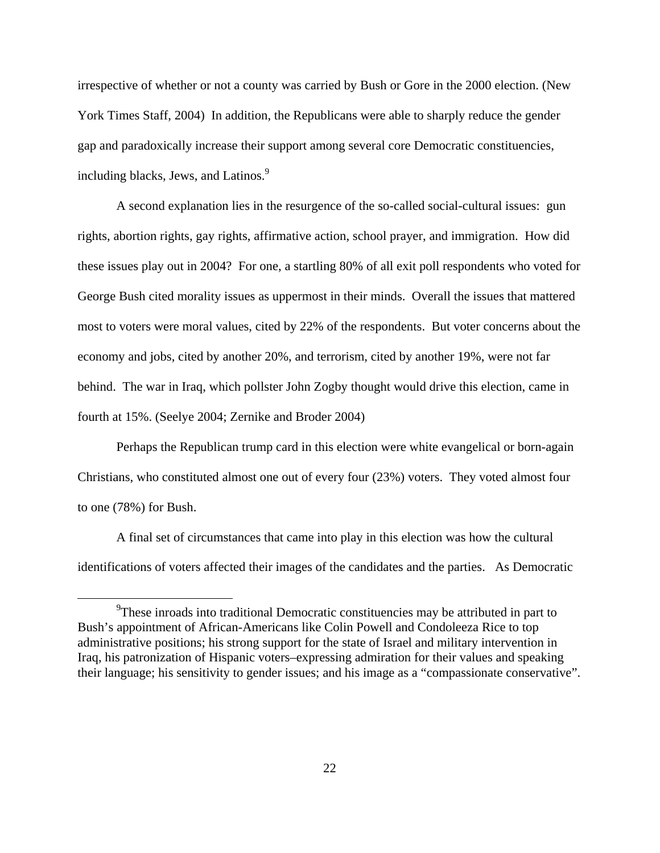irrespective of whether or not a county was carried by Bush or Gore in the 2000 election. (New York Times Staff, 2004) In addition, the Republicans were able to sharply reduce the gender gap and paradoxically increase their support among several core Democratic constituencies, including blacks, Jews, and Latinos.<sup>9</sup>

A second explanation lies in the resurgence of the so-called social-cultural issues: gun rights, abortion rights, gay rights, affirmative action, school prayer, and immigration. How did these issues play out in 2004? For one, a startling 80% of all exit poll respondents who voted for George Bush cited morality issues as uppermost in their minds. Overall the issues that mattered most to voters were moral values, cited by 22% of the respondents. But voter concerns about the economy and jobs, cited by another 20%, and terrorism, cited by another 19%, were not far behind. The war in Iraq, which pollster John Zogby thought would drive this election, came in fourth at 15%. (Seelye 2004; Zernike and Broder 2004)

Perhaps the Republican trump card in this election were white evangelical or born-again Christians, who constituted almost one out of every four (23%) voters. They voted almost four to one (78%) for Bush.

A final set of circumstances that came into play in this election was how the cultural identifications of voters affected their images of the candidates and the parties. As Democratic

 $\frac{1}{\sqrt{9}}$ <sup>9</sup>These inroads into traditional Democratic constituencies may be attributed in part to Bush's appointment of African-Americans like Colin Powell and Condoleeza Rice to top administrative positions; his strong support for the state of Israel and military intervention in Iraq, his patronization of Hispanic voters–expressing admiration for their values and speaking their language; his sensitivity to gender issues; and his image as a "compassionate conservative".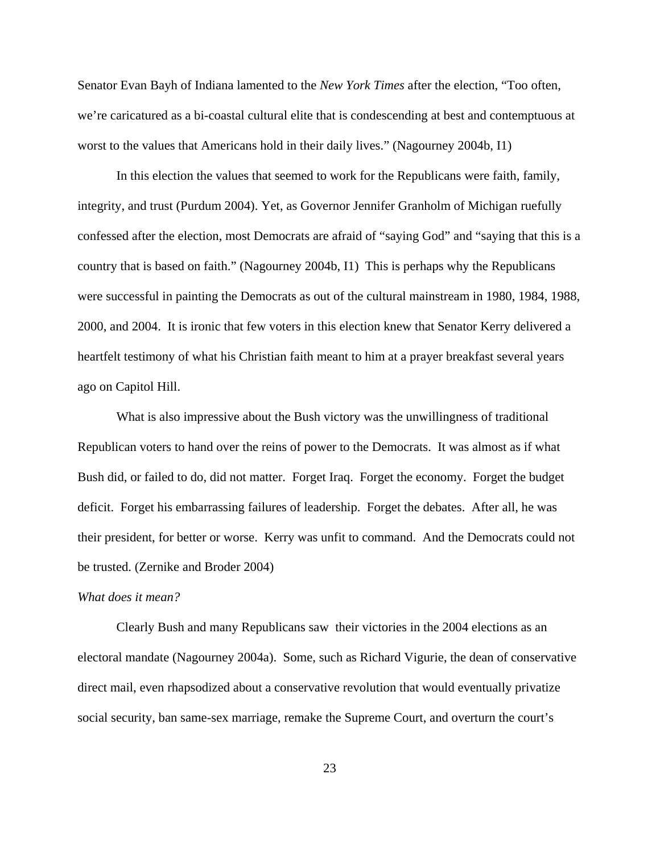Senator Evan Bayh of Indiana lamented to the *New York Times* after the election, "Too often, we're caricatured as a bi-coastal cultural elite that is condescending at best and contemptuous at worst to the values that Americans hold in their daily lives." (Nagourney 2004b, I1)

In this election the values that seemed to work for the Republicans were faith, family, integrity, and trust (Purdum 2004). Yet, as Governor Jennifer Granholm of Michigan ruefully confessed after the election, most Democrats are afraid of "saying God" and "saying that this is a country that is based on faith." (Nagourney 2004b, I1) This is perhaps why the Republicans were successful in painting the Democrats as out of the cultural mainstream in 1980, 1984, 1988, 2000, and 2004. It is ironic that few voters in this election knew that Senator Kerry delivered a heartfelt testimony of what his Christian faith meant to him at a prayer breakfast several years ago on Capitol Hill.

What is also impressive about the Bush victory was the unwillingness of traditional Republican voters to hand over the reins of power to the Democrats. It was almost as if what Bush did, or failed to do, did not matter. Forget Iraq. Forget the economy. Forget the budget deficit. Forget his embarrassing failures of leadership. Forget the debates. After all, he was their president, for better or worse. Kerry was unfit to command. And the Democrats could not be trusted. (Zernike and Broder 2004)

## *What does it mean?*

Clearly Bush and many Republicans saw their victories in the 2004 elections as an electoral mandate (Nagourney 2004a). Some, such as Richard Vigurie, the dean of conservative direct mail, even rhapsodized about a conservative revolution that would eventually privatize social security, ban same-sex marriage, remake the Supreme Court, and overturn the court's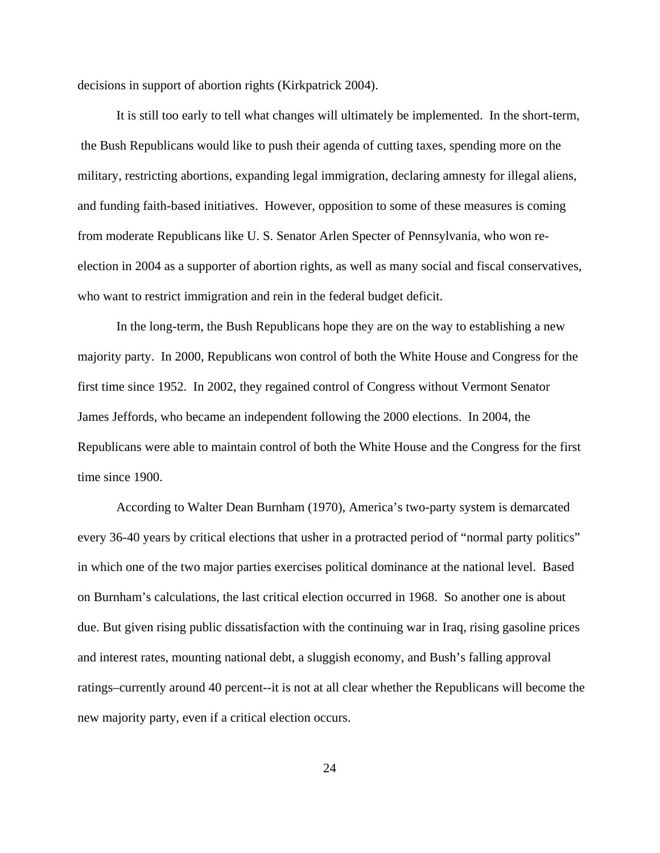decisions in support of abortion rights (Kirkpatrick 2004).

It is still too early to tell what changes will ultimately be implemented. In the short-term, the Bush Republicans would like to push their agenda of cutting taxes, spending more on the military, restricting abortions, expanding legal immigration, declaring amnesty for illegal aliens, and funding faith-based initiatives. However, opposition to some of these measures is coming from moderate Republicans like U. S. Senator Arlen Specter of Pennsylvania, who won reelection in 2004 as a supporter of abortion rights, as well as many social and fiscal conservatives, who want to restrict immigration and rein in the federal budget deficit.

In the long-term, the Bush Republicans hope they are on the way to establishing a new majority party. In 2000, Republicans won control of both the White House and Congress for the first time since 1952. In 2002, they regained control of Congress without Vermont Senator James Jeffords, who became an independent following the 2000 elections. In 2004, the Republicans were able to maintain control of both the White House and the Congress for the first time since 1900.

According to Walter Dean Burnham (1970), America's two-party system is demarcated every 36-40 years by critical elections that usher in a protracted period of "normal party politics" in which one of the two major parties exercises political dominance at the national level. Based on Burnham's calculations, the last critical election occurred in 1968. So another one is about due. But given rising public dissatisfaction with the continuing war in Iraq, rising gasoline prices and interest rates, mounting national debt, a sluggish economy, and Bush's falling approval ratings–currently around 40 percent--it is not at all clear whether the Republicans will become the new majority party, even if a critical election occurs.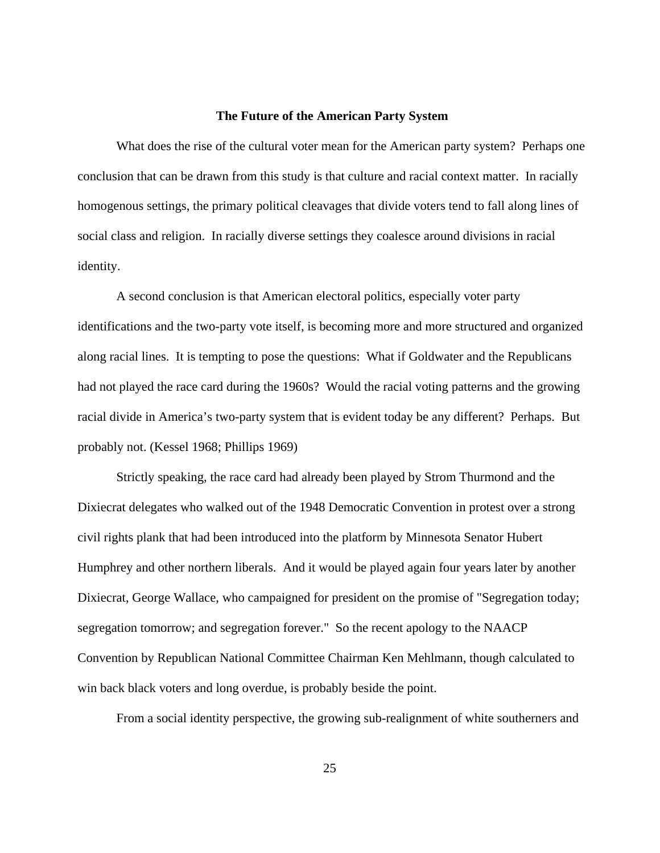#### **The Future of the American Party System**

What does the rise of the cultural voter mean for the American party system? Perhaps one conclusion that can be drawn from this study is that culture and racial context matter. In racially homogenous settings, the primary political cleavages that divide voters tend to fall along lines of social class and religion. In racially diverse settings they coalesce around divisions in racial identity.

A second conclusion is that American electoral politics, especially voter party identifications and the two-party vote itself, is becoming more and more structured and organized along racial lines. It is tempting to pose the questions: What if Goldwater and the Republicans had not played the race card during the 1960s? Would the racial voting patterns and the growing racial divide in America's two-party system that is evident today be any different? Perhaps. But probably not. (Kessel 1968; Phillips 1969)

Strictly speaking, the race card had already been played by Strom Thurmond and the Dixiecrat delegates who walked out of the 1948 Democratic Convention in protest over a strong civil rights plank that had been introduced into the platform by Minnesota Senator Hubert Humphrey and other northern liberals. And it would be played again four years later by another Dixiecrat, George Wallace, who campaigned for president on the promise of "Segregation today; segregation tomorrow; and segregation forever." So the recent apology to the NAACP Convention by Republican National Committee Chairman Ken Mehlmann, though calculated to win back black voters and long overdue, is probably beside the point.

From a social identity perspective, the growing sub-realignment of white southerners and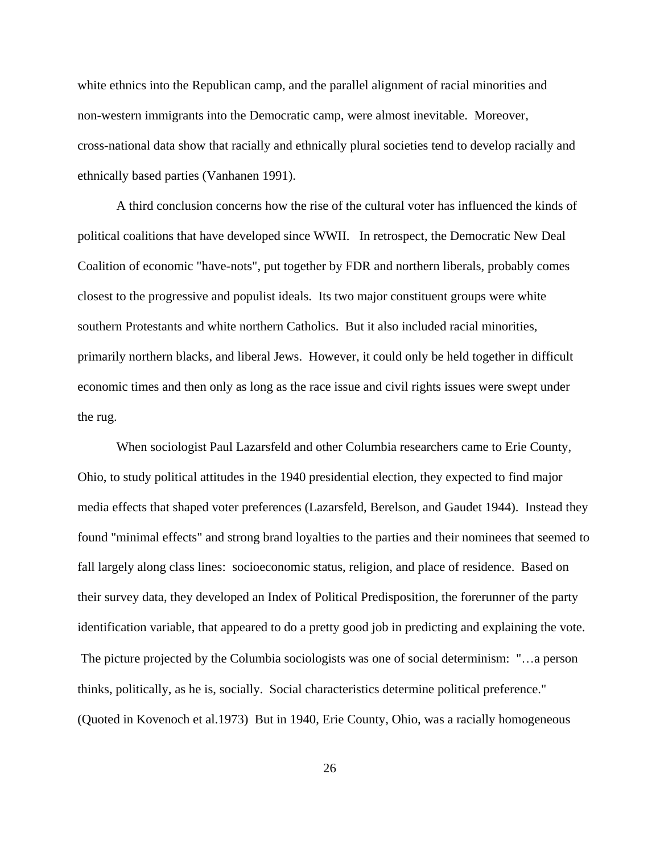white ethnics into the Republican camp, and the parallel alignment of racial minorities and non-western immigrants into the Democratic camp, were almost inevitable. Moreover, cross-national data show that racially and ethnically plural societies tend to develop racially and ethnically based parties (Vanhanen 1991).

A third conclusion concerns how the rise of the cultural voter has influenced the kinds of political coalitions that have developed since WWII. In retrospect, the Democratic New Deal Coalition of economic "have-nots", put together by FDR and northern liberals, probably comes closest to the progressive and populist ideals. Its two major constituent groups were white southern Protestants and white northern Catholics. But it also included racial minorities, primarily northern blacks, and liberal Jews. However, it could only be held together in difficult economic times and then only as long as the race issue and civil rights issues were swept under the rug.

When sociologist Paul Lazarsfeld and other Columbia researchers came to Erie County, Ohio, to study political attitudes in the 1940 presidential election, they expected to find major media effects that shaped voter preferences (Lazarsfeld, Berelson, and Gaudet 1944). Instead they found "minimal effects" and strong brand loyalties to the parties and their nominees that seemed to fall largely along class lines: socioeconomic status, religion, and place of residence. Based on their survey data, they developed an Index of Political Predisposition, the forerunner of the party identification variable, that appeared to do a pretty good job in predicting and explaining the vote. The picture projected by the Columbia sociologists was one of social determinism: "…a person thinks, politically, as he is, socially. Social characteristics determine political preference." (Quoted in Kovenoch et al.1973) But in 1940, Erie County, Ohio, was a racially homogeneous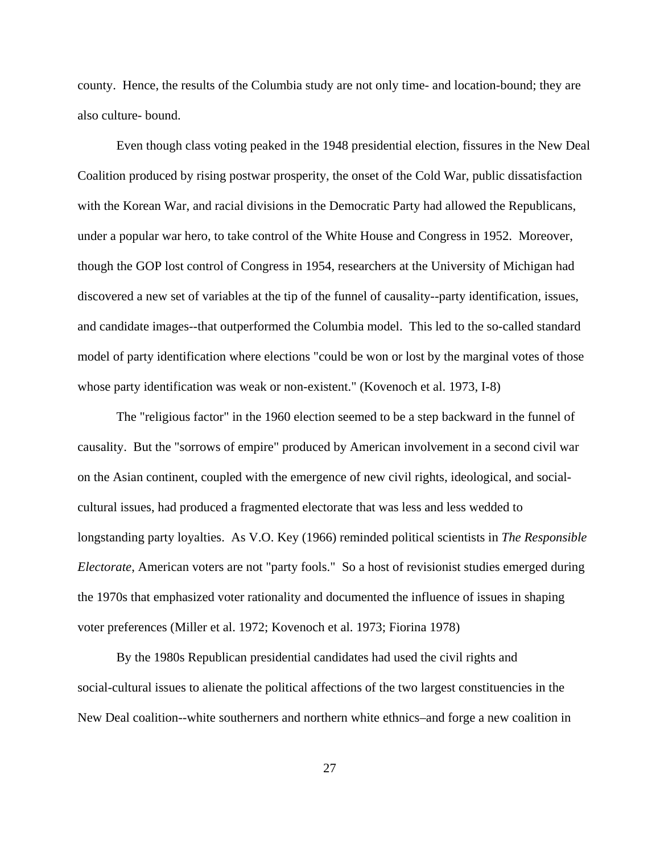county. Hence, the results of the Columbia study are not only time- and location-bound; they are also culture- bound.

Even though class voting peaked in the 1948 presidential election, fissures in the New Deal Coalition produced by rising postwar prosperity, the onset of the Cold War, public dissatisfaction with the Korean War, and racial divisions in the Democratic Party had allowed the Republicans, under a popular war hero, to take control of the White House and Congress in 1952. Moreover, though the GOP lost control of Congress in 1954, researchers at the University of Michigan had discovered a new set of variables at the tip of the funnel of causality--party identification, issues, and candidate images--that outperformed the Columbia model. This led to the so-called standard model of party identification where elections "could be won or lost by the marginal votes of those whose party identification was weak or non-existent." (Kovenoch et al. 1973, I-8)

The "religious factor" in the 1960 election seemed to be a step backward in the funnel of causality. But the "sorrows of empire" produced by American involvement in a second civil war on the Asian continent, coupled with the emergence of new civil rights, ideological, and socialcultural issues, had produced a fragmented electorate that was less and less wedded to longstanding party loyalties. As V.O. Key (1966) reminded political scientists in *The Responsible Electorate*, American voters are not "party fools." So a host of revisionist studies emerged during the 1970s that emphasized voter rationality and documented the influence of issues in shaping voter preferences (Miller et al. 1972; Kovenoch et al. 1973; Fiorina 1978)

By the 1980s Republican presidential candidates had used the civil rights and social-cultural issues to alienate the political affections of the two largest constituencies in the New Deal coalition--white southerners and northern white ethnics–and forge a new coalition in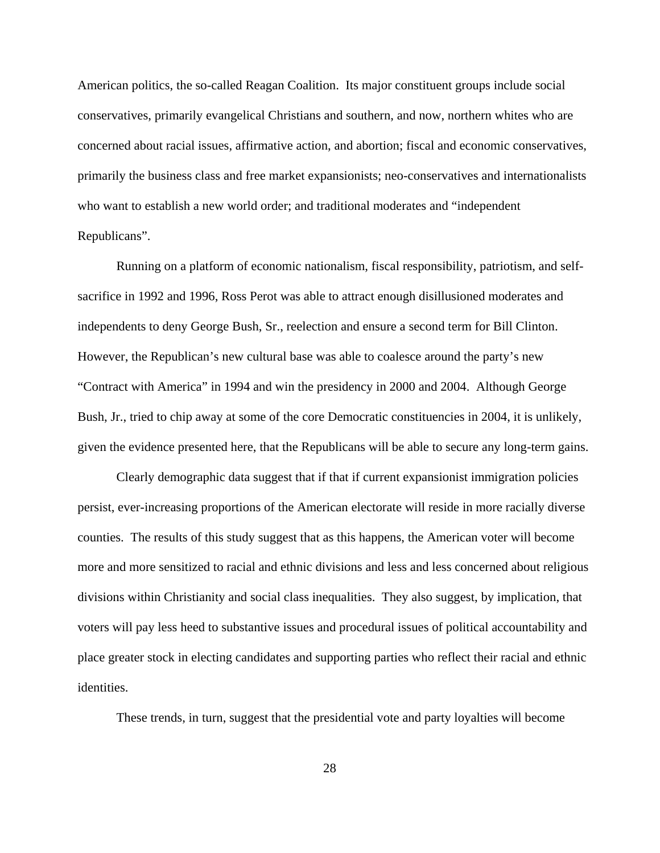American politics, the so-called Reagan Coalition. Its major constituent groups include social conservatives, primarily evangelical Christians and southern, and now, northern whites who are concerned about racial issues, affirmative action, and abortion; fiscal and economic conservatives, primarily the business class and free market expansionists; neo-conservatives and internationalists who want to establish a new world order; and traditional moderates and "independent Republicans".

Running on a platform of economic nationalism, fiscal responsibility, patriotism, and selfsacrifice in 1992 and 1996, Ross Perot was able to attract enough disillusioned moderates and independents to deny George Bush, Sr., reelection and ensure a second term for Bill Clinton. However, the Republican's new cultural base was able to coalesce around the party's new "Contract with America" in 1994 and win the presidency in 2000 and 2004. Although George Bush, Jr., tried to chip away at some of the core Democratic constituencies in 2004, it is unlikely, given the evidence presented here, that the Republicans will be able to secure any long-term gains.

Clearly demographic data suggest that if that if current expansionist immigration policies persist, ever-increasing proportions of the American electorate will reside in more racially diverse counties. The results of this study suggest that as this happens, the American voter will become more and more sensitized to racial and ethnic divisions and less and less concerned about religious divisions within Christianity and social class inequalities. They also suggest, by implication, that voters will pay less heed to substantive issues and procedural issues of political accountability and place greater stock in electing candidates and supporting parties who reflect their racial and ethnic identities.

These trends, in turn, suggest that the presidential vote and party loyalties will become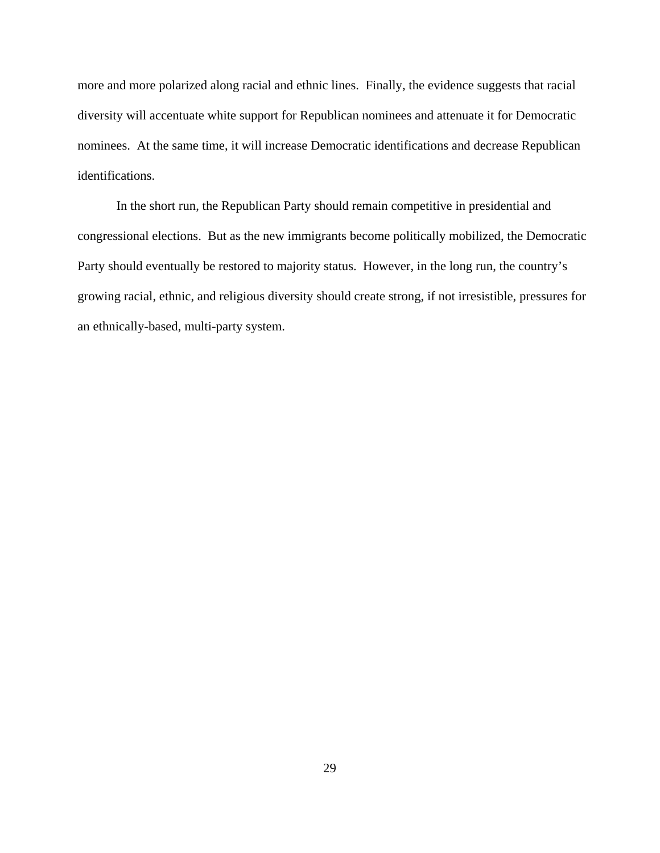more and more polarized along racial and ethnic lines. Finally, the evidence suggests that racial diversity will accentuate white support for Republican nominees and attenuate it for Democratic nominees. At the same time, it will increase Democratic identifications and decrease Republican identifications.

In the short run, the Republican Party should remain competitive in presidential and congressional elections. But as the new immigrants become politically mobilized, the Democratic Party should eventually be restored to majority status. However, in the long run, the country's growing racial, ethnic, and religious diversity should create strong, if not irresistible, pressures for an ethnically-based, multi-party system.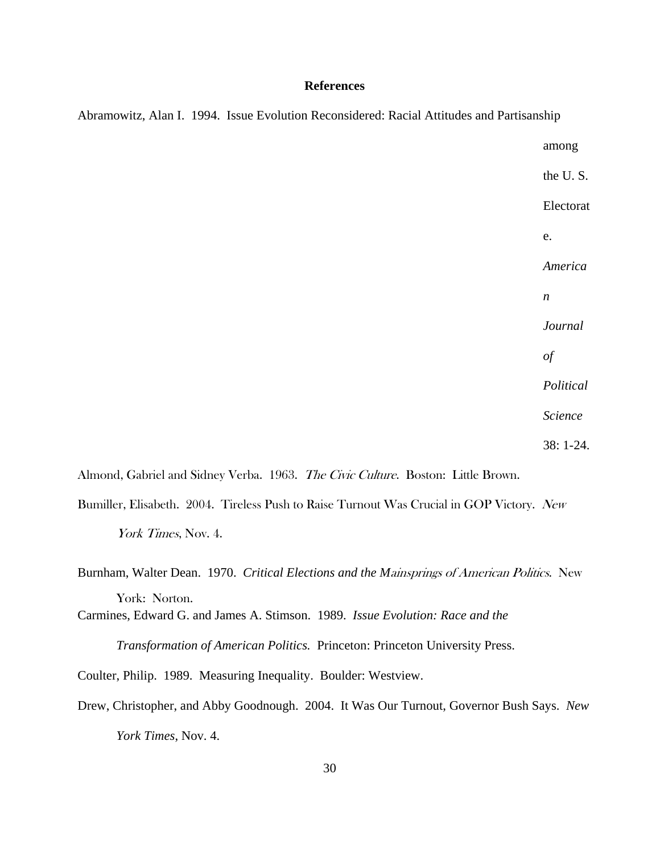### **References**

|  | Abramowitz, Alan I. 1994. Issue Evolution Reconsidered: Racial Attitudes and Partisanship |                  |  |
|--|-------------------------------------------------------------------------------------------|------------------|--|
|  |                                                                                           | among            |  |
|  |                                                                                           | the U.S.         |  |
|  |                                                                                           | Electorat        |  |
|  |                                                                                           | e.               |  |
|  |                                                                                           | America          |  |
|  |                                                                                           | $\boldsymbol{n}$ |  |
|  |                                                                                           | Journal          |  |
|  |                                                                                           | $\mathfrak{g}$   |  |
|  |                                                                                           | Political        |  |
|  |                                                                                           | Science          |  |
|  |                                                                                           | 38: 1-24.        |  |
|  |                                                                                           |                  |  |

Almond, Gabriel and Sidney Verba. 1963. The Civic Culture. Boston: Little Brown.

Bumiller, Elisabeth. 2004. Tireless Push to Raise Turnout Was Crucial in GOP Victory. New York Times, Nov. 4.

Carmines, Edward G. and James A. Stimson. 1989. *Issue Evolution: Race and the Transformation of American Politics.* Princeton: Princeton University Press.

Coulter, Philip. 1989. Measuring Inequality. Boulder: Westview.

Drew, Christopher, and Abby Goodnough. 2004. It Was Our Turnout, Governor Bush Says. *New York Times*, Nov. 4.

Burnham, Walter Dean. 1970. *Critical Elections and the M*ainsprings of American Politics. New York: Norton.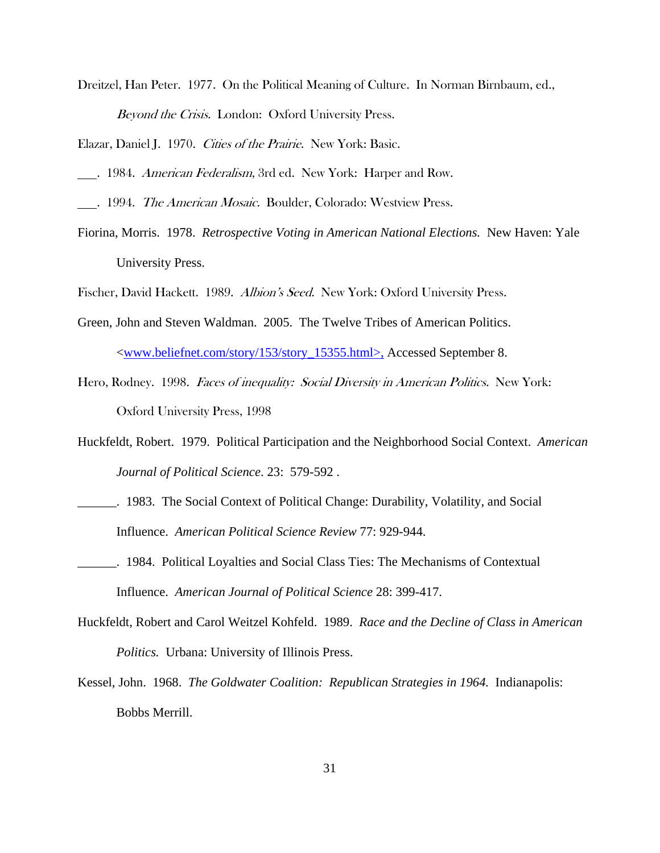Dreitzel, Han Peter. 1977. On the Political Meaning of Culture. In Norman Birnbaum, ed., Beyond the Crisis. London: Oxford University Press.

Elazar, Daniel J. 1970. Cities of the Prairie. New York: Basic.

- . 1984. *American Federalism*, 3rd ed. New York: Harper and Row.
- . 1994. The American Mosaic. Boulder, Colorado: Westview Press.
- Fiorina, Morris. 1978. *Retrospective Voting in American National Elections.* New Haven: Yale University Press.

Fischer, David Hackett. 1989. Albion's Seed. New York: Oxford University Press.

- Green, John and Steven Waldman. 2005. The Twelve Tribes of American Politics. <www.beliefnet.com/story/153/story\_15355.html>, Accessed September 8.
- Hero, Rodney. 1998. Faces of inequality: Social Diversity in American Politics. New York: Oxford University Press, 1998

Huckfeldt, Robert. 1979. Political Participation and the Neighborhood Social Context. *American Journal of Political Science*. 23: 579-592 .

- \_\_\_\_\_\_. 1983. The Social Context of Political Change: Durability, Volatility, and Social Influence. *American Political Science Review* 77: 929-944.
- **\_\_\_\_\_\_.** 1984. Political Loyalties and Social Class Ties: The Mechanisms of Contextual Influence. *American Journal of Political Science* 28: 399-417.
- Huckfeldt, Robert and Carol Weitzel Kohfeld. 1989. *Race and the Decline of Class in American Politics.* Urbana: University of Illinois Press.
- Kessel, John. 1968. *The Goldwater Coalition: Republican Strategies in 1964.* Indianapolis: Bobbs Merrill.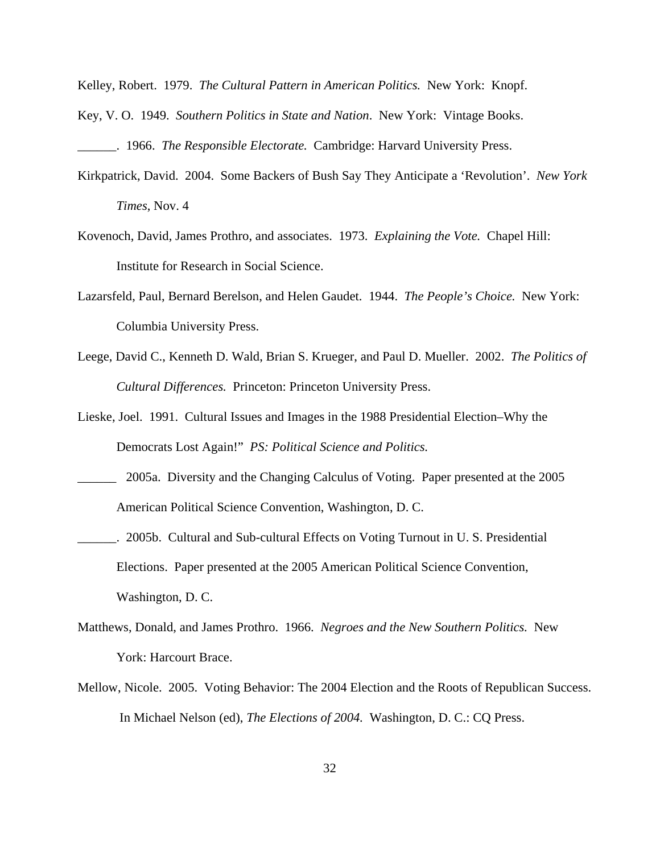Kelley, Robert. 1979. *The Cultural Pattern in American Politics.* New York: Knopf.

Key, V. O. 1949. *Southern Politics in State and Nation*. New York: Vintage Books.

\_\_\_\_\_\_. 1966. *The Responsible Electorate.* Cambridge: Harvard University Press.

- Kirkpatrick, David. 2004. Some Backers of Bush Say They Anticipate a 'Revolution'. *New York Times*, Nov. 4
- Kovenoch, David, James Prothro, and associates. 1973. *Explaining the Vote.* Chapel Hill: Institute for Research in Social Science.
- Lazarsfeld, Paul, Bernard Berelson, and Helen Gaudet. 1944. *The People's Choice.* New York: Columbia University Press.
- Leege, David C., Kenneth D. Wald, Brian S. Krueger, and Paul D. Mueller. 2002. *The Politics of Cultural Differences.* Princeton: Princeton University Press.
- Lieske, Joel. 1991. Cultural Issues and Images in the 1988 Presidential Election–Why the Democrats Lost Again!" *PS: Political Science and Politics.*
- *\_\_\_\_\_\_* 2005a. Diversity and the Changing Calculus of Voting. Paper presented at the 2005 American Political Science Convention, Washington, D. C.
- \_\_\_\_\_\_. 2005b. Cultural and Sub-cultural Effects on Voting Turnout in U. S. Presidential Elections. Paper presented at the 2005 American Political Science Convention, Washington, D. C.
- Matthews, Donald, and James Prothro. 1966. *Negroes and the New Southern Politics.* New York: Harcourt Brace.
- Mellow, Nicole. 2005. Voting Behavior: The 2004 Election and the Roots of Republican Success. In Michael Nelson (ed), *The Elections of 2004.* Washington, D. C.: CQ Press.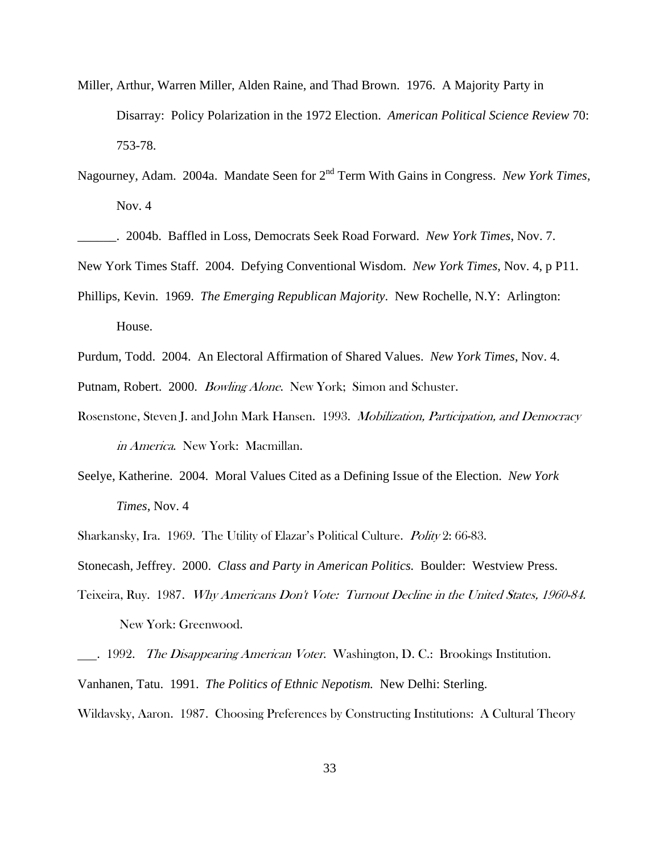- Miller, Arthur, Warren Miller, Alden Raine, and Thad Brown. 1976. A Majority Party in Disarray: Policy Polarization in the 1972 Election. *American Political Science Review* 70: 753-78.
- Nagourney, Adam. 2004a. Mandate Seen for 2<sup>nd</sup> Term With Gains in Congress. *New York Times*, Nov. 4
- \_\_\_\_\_\_. 2004b. Baffled in Loss, Democrats Seek Road Forward. *New York Times*, Nov. 7.
- New York Times Staff. 2004. Defying Conventional Wisdom. *New York Times*, Nov. 4, p P11.
- Phillips, Kevin. 1969. *The Emerging Republican Majority*. New Rochelle, N.Y: Arlington: House.
- Purdum, Todd. 2004. An Electoral Affirmation of Shared Values. *New York Times*, Nov. 4.
- Putnam, Robert. 2000. *Bowling Alone*. New York; Simon and Schuster.
- Rosenstone, Steven J. and John Mark Hansen. 1993. *Mobilization, Participation, and Democracy* in America. New York: Macmillan.
- Seelye, Katherine. 2004. Moral Values Cited as a Defining Issue of the Election. *New York Times*, Nov. 4
- Sharkansky, Ira. 1969. The Utility of Elazar's Political Culture. Polity 2: 66-83.

Stonecash, Jeffrey. 2000. *Class and Party in American Politics.* Boulder: Westview Press.

Teixeira, Ruy. 1987. Why Americans Don't Vote: Turnout Decline in the United States, 1960-84. New York: Greenwood.

. 1992. The Disappearing American Voter. Washington, D. C.: Brookings Institution. Vanhanen, Tatu. 1991. *The Politics of Ethnic Nepotism.* New Delhi: Sterling. Wildavsky, Aaron. 1987. Choosing Preferences by Constructing Institutions: A Cultural Theory